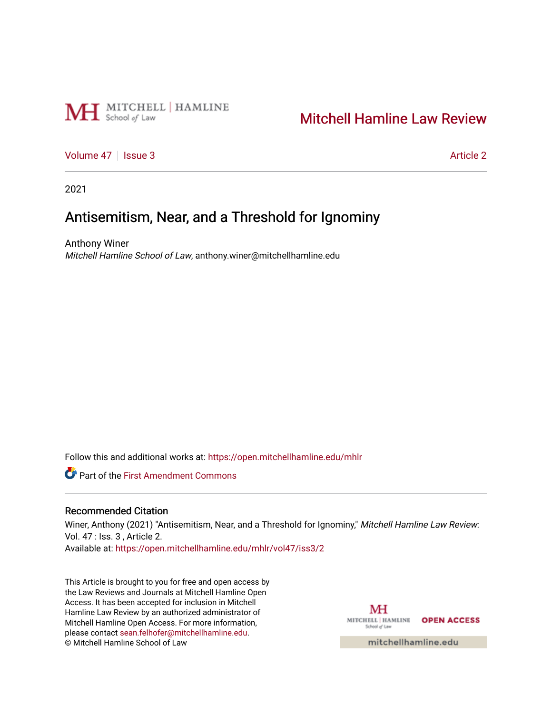

# [Mitchell Hamline Law Review](https://open.mitchellhamline.edu/mhlr)

[Volume 47](https://open.mitchellhamline.edu/mhlr/vol47) | [Issue 3](https://open.mitchellhamline.edu/mhlr/vol47/iss3) [Article 2](https://open.mitchellhamline.edu/mhlr/vol47/iss3/2) Article 2

2021

# Antisemitism, Near, and a Threshold for Ignominy

Anthony Winer Mitchell Hamline School of Law, anthony.winer@mitchellhamline.edu

Follow this and additional works at: [https://open.mitchellhamline.edu/mhlr](https://open.mitchellhamline.edu/mhlr?utm_source=open.mitchellhamline.edu%2Fmhlr%2Fvol47%2Fiss3%2F2&utm_medium=PDF&utm_campaign=PDFCoverPages) 

**C** Part of the First Amendment Commons

# Recommended Citation

Winer, Anthony (2021) "Antisemitism, Near, and a Threshold for Ignominy," Mitchell Hamline Law Review: Vol. 47 : Iss. 3 , Article 2.

Available at: [https://open.mitchellhamline.edu/mhlr/vol47/iss3/2](https://open.mitchellhamline.edu/mhlr/vol47/iss3/2?utm_source=open.mitchellhamline.edu%2Fmhlr%2Fvol47%2Fiss3%2F2&utm_medium=PDF&utm_campaign=PDFCoverPages) 

This Article is brought to you for free and open access by the Law Reviews and Journals at Mitchell Hamline Open Access. It has been accepted for inclusion in Mitchell Hamline Law Review by an authorized administrator of Mitchell Hamline Open Access. For more information, please contact [sean.felhofer@mitchellhamline.edu.](mailto:sean.felhofer@mitchellhamline.edu) © Mitchell Hamline School of Law

MH MITCHELL | HAMLINE OPEN ACCESS School of Law mitchellhamline.edu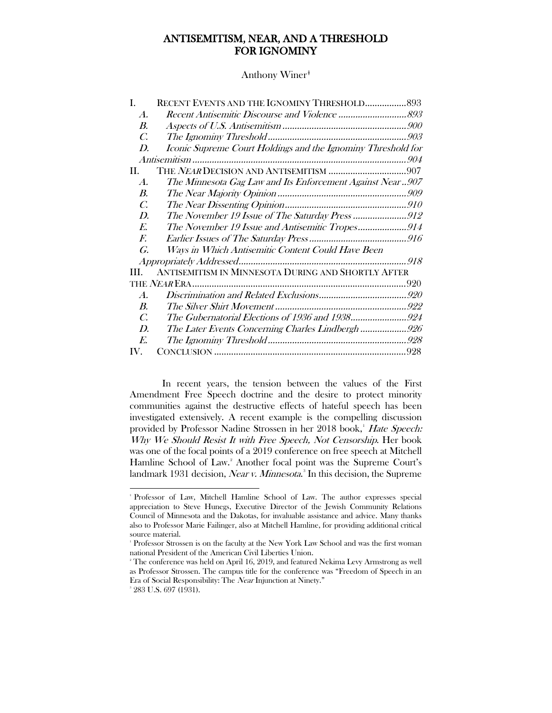# ANTISEMITISM, NEAR, AND A THRESHOLD FOR IGNOMINY

Anthony Winer<sup>‡</sup>

| RECENT EVENTS AND THE IGNOMINY THRESHOLD 893                 |
|--------------------------------------------------------------|
|                                                              |
|                                                              |
|                                                              |
| Iconic Supreme Court Holdings and the Ignominy Threshold for |
|                                                              |
|                                                              |
| The Minnesota Gag Law and Its Enforcement Against Near907    |
|                                                              |
|                                                              |
|                                                              |
| The November 19 Issue and Antisemitic Tropes914              |
|                                                              |
|                                                              |
|                                                              |
| ANTISEMITISM IN MINNESOTA DURING AND SHORTLY AFTER           |
|                                                              |
|                                                              |
|                                                              |
|                                                              |
| The Later Events Concerning Charles Lindbergh 926            |
|                                                              |
|                                                              |
|                                                              |

In recent years, the tension between the values of the First Amendment Free Speech doctrine and the desire to protect minority communities against the destructive effects of hateful speech has been investigated extensively. A recent example is the compelling discussion provided by Professor Nadine Strossen in her 20[1](#page-1-0)8 book,<sup>1</sup> Hate Speech: Why We Should Resist It with Free Speech, Not Censorship. Her book was one of the focal points of a 2019 conference on free speech at Mitchell Hamline School of Law.<sup>[2](#page-1-1)</sup> Another focal point was the Supreme Court's landmark 19[3](#page-1-2)1 decision, *Near v. Minnesota*.<sup>8</sup> In this decision, the Supreme

<span id="page-1-0"></span> <sup>†</sup> Professor of Law, Mitchell Hamline School of Law. The author expresses special appreciation to Steve Hunegs, Executive Director of the Jewish Community Relations Council of Minnesota and the Dakotas, for invaluable assistance and advice. Many thanks also to Professor Marie Failinger, also at Mitchell Hamline, for providing additional critical source material.

<sup>1</sup> Professor Strossen is on the faculty at the New York Law School and was the first woman national President of the American Civil Liberties Union.

<span id="page-1-1"></span> $^2$  The conference was held on April 16, 2019, and featured Nekima Levy Armstrong as well as Professor Strossen. The campus title for the conference was "Freedom of Speech in an Era of Social Responsibility: The Near Injunction at Ninety."

<span id="page-1-2"></span><sup>3</sup> 283 U.S. 697 (1931).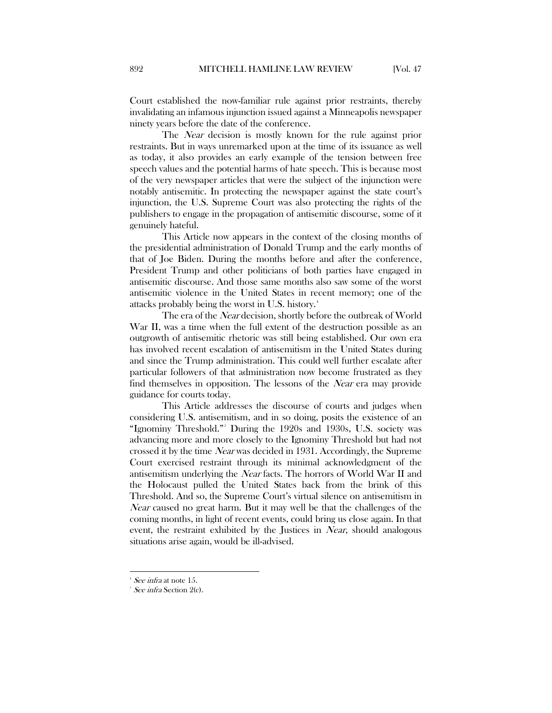Court established the now-familiar rule against prior restraints, thereby invalidating an infamous injunction issued against a Minneapolis newspaper ninety years before the date of the conference.

The *Near* decision is mostly known for the rule against prior restraints. But in ways unremarked upon at the time of its issuance as well as today, it also provides an early example of the tension between free speech values and the potential harms of hate speech. This is because most of the very newspaper articles that were the subject of the injunction were notably antisemitic. In protecting the newspaper against the state court's injunction, the U.S. Supreme Court was also protecting the rights of the publishers to engage in the propagation of antisemitic discourse, some of it genuinely hateful.

This Article now appears in the context of the closing months of the presidential administration of Donald Trump and the early months of that of Joe Biden. During the months before and after the conference, President Trump and other politicians of both parties have engaged in antisemitic discourse. And those same months also saw some of the worst antisemitic violence in the United States in recent memory; one of the attacks probably being the worst in U.S. history.[4](#page-2-0)

The era of the Near decision, shortly before the outbreak of World War II, was a time when the full extent of the destruction possible as an outgrowth of antisemitic rhetoric was still being established. Our own era has involved recent escalation of antisemitism in the United States during and since the Trump administration. This could well further escalate after particular followers of that administration now become frustrated as they find themselves in opposition. The lessons of the Near era may provide guidance for courts today.

This Article addresses the discourse of courts and judges when considering U.S. antisemitism, and in so doing, posits the existence of an "Ignominy Threshold." During the 1920s and 1930s, U.S. society was advancing more and more closely to the Ignominy Threshold but had not crossed it by the time Near was decided in 1931. Accordingly, the Supreme Court exercised restraint through its minimal acknowledgment of the antisemitism underlying the Near facts. The horrors of World War II and the Holocaust pulled the United States back from the brink of this Threshold. And so, the Supreme Court's virtual silence on antisemitism in Near caused no great harm. But it may well be that the challenges of the coming months, in light of recent events, could bring us close again. In that event, the restraint exhibited by the Justices in Near, should analogous situations arise again, would be ill-advised.

<span id="page-2-0"></span> <sup>4</sup> See infra at note 15.

<span id="page-2-1"></span><sup>5</sup> See infra Section 2(c).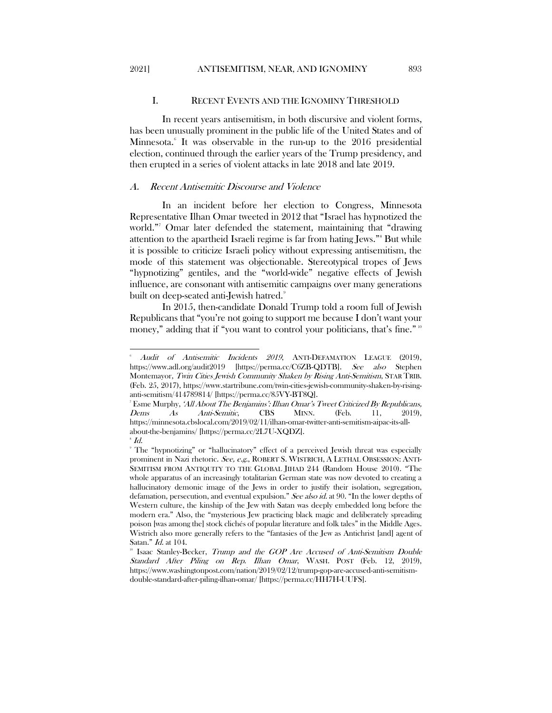# I. RECENT EVENTS AND THE IGNOMINY THRESHOLD

<span id="page-3-0"></span>In recent years antisemitism, in both discursive and violent forms, has been unusually prominent in the public life of the United States and of Minnesota.<sup>[6](#page-3-2)</sup> It was observable in the run-up to the 2016 presidential election, continued through the earlier years of the Trump presidency, and then erupted in a series of violent attacks in late 2018 and late 2019.

#### <span id="page-3-1"></span>A. Recent Antisemitic Discourse and Violence

In an incident before her election to Congress, Minnesota Representative Ilhan Omar tweeted in 2012 that "Israel has hypnotized the world."[7](#page-3-3) Omar later defended the statement, maintaining that "drawing attention to the apartheid Israeli regime is far from hating Jews."[8](#page-3-4) But while it is possible to criticize Israeli policy without expressing antisemitism, the mode of this statement was objectionable. Stereotypical tropes of Jews "hypnotizing" gentiles, and the "world-wide" negative effects of Jewish influence, are consonant with antisemitic campaigns over many generations built on deep-seated anti-Jewish hatred.<sup>[9](#page-3-5)</sup>

In 2015, then-candidate Donald Trump told a room full of Jewish Republicans that "you're not going to support me because I don't want your money," adding that if "you want to control your politicians, that's fine."<sup>[10](#page-3-6)</sup>

 $\overline{a}$ 

<span id="page-3-2"></span><sup>6</sup> Audit of Antisemitic Incidents 2019, ANTI-DEFAMATION LEAGUE (2019), https://www.adl.org/audit2019 [https://perma.cc/C6ZB-QDTB]. See also Stephen Montemayor, Twin Cities Jewish Community Shaken by Rising Anti-Semitism, STAR TRIB. (Feb. 25, 2017), https://www.startribune.com/twin-cities-jewish-community-shaken-by-risinganti-semitism/414789814/ [https://perma.cc/85VY-BT8Q].

<span id="page-3-3"></span><sup>&</sup>lt;sup>7</sup> Esme Murphy, 'All About The Benjamins': Ilhan Omar's Tweet Criticized By Republicans, Dems As Anti-Semitic, CBS MINN. (Feb. 11, 2019), https://minnesota.cbslocal.com/2019/02/11/ilhan-omar-twitter-anti-semitism-aipac-its-allabout-the-benjamins/ [https://perma.cc/2L7U-XQDZ].

 $^{\circ}$  Id.

<span id="page-3-5"></span><span id="page-3-4"></span><sup>9</sup> The "hypnotizing" or "hallucinatory" effect of a perceived Jewish threat was especially prominent in Nazi rhetoric. See, e.g., ROBERT S. WISTRICH, A LETHAL OBSESSION: ANTI-SEMITISM FROM ANTIQUITY TO THE GLOBAL JIHAD 244 (Random House 2010). "The whole apparatus of an increasingly totalitarian German state was now devoted to creating a hallucinatory demonic image of the Jews in order to justify their isolation, segregation, defamation, persecution, and eventual expulsion." See also id. at 90. "In the lower depths of Western culture, the kinship of the Jew with Satan was deeply embedded long before the modern era." Also, the "mysterious Jew practicing black magic and deliberately spreading poison [was among the] stock clichés of popular literature and folk tales" in the Middle Ages. Wistrich also more generally refers to the "fantasies of the Jew as Antichrist [and] agent of Satan." *Id.* at 104.

<span id="page-3-6"></span><sup>&</sup>lt;sup>1</sup> Isaac Stanley-Becker, Trump and the GOP Are Accused of Anti-Semitism Double Standard After Piling on Rep. Ilhan Omar, WASH. POST (Feb. 12, 2019), https://www.washingtonpost.com/nation/2019/02/12/trump-gop-are-accused-anti-semitismdouble-standard-after-piling-ilhan-omar/ [https://perma.cc/HH7H-UUFS].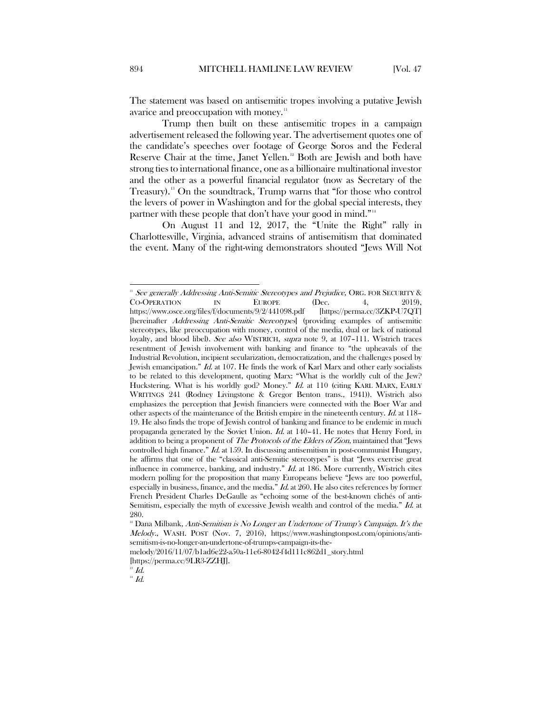The statement was based on antisemitic tropes involving a putative Jewish avarice and preoccupation with money.<sup>[11](#page-4-0)</sup>

Trump then built on these antisemitic tropes in a campaign advertisement released the following year. The advertisement quotes one of the candidate's speeches over footage of George Soros and the Federal Reserve Chair at the time, Janet Yellen.<sup>[12](#page-4-1)</sup> Both are Jewish and both have strong ties to international finance, one as a billionaire multinational investor and the other as a powerful financial regulator (now as Secretary of the Treasury).[13](#page-4-2) On the soundtrack, Trump warns that "for those who control the levers of power in Washington and for the global special interests, they partner with these people that don't have your good in mind."[14](#page-4-3)

On August 11 and 12, 2017, the "Unite the Right" rally in Charlottesville, Virginia, advanced strains of antisemitism that dominated the event. Many of the right-wing demonstrators shouted "Jews Will Not

<span id="page-4-3"></span><span id="page-4-2"></span> $14$  Id.

<span id="page-4-0"></span>See generally Addressing Anti-Semitic Stereotypes and Prejudice, ORG. FOR SECURITY & CO-OPERATION IN EUROPE (Dec. 4, 2019), https://www.osce.org/files/f/documents/9/2/441098.pdf [https://perma.cc/3ZKP-U7QT] [hereinafter *Addressing Anti-Semitic Stereotypes*] (providing examples of antisemitic stereotypes, like preoccupation with money, control of the media, dual or lack of national loyalty, and blood libel). See also WISTRICH, supra note 9, at 107-111. Wistrich traces resentment of Jewish involvement with banking and finance to "the upheavals of the Industrial Revolution, incipient secularization, democratization, and the challenges posed by Jewish emancipation." Id. at 107. He finds the work of Karl Marx and other early socialists to be related to this development, quoting Marx: "What is the worldly cult of the Jew? Huckstering. What is his worldly god? Money." Id. at 110 (citing KARL MARX, EARLY WRITINGS 241 (Rodney Livingstone & Gregor Benton trans., 1941)). Wistrich also emphasizes the perception that Jewish financiers were connected with the Boer War and other aspects of the maintenance of the British empire in the nineteenth century. Id. at 118– 19. He also finds the trope of Jewish control of banking and finance to be endemic in much propaganda generated by the Soviet Union. Id. at 140–41. He notes that Henry Ford, in addition to being a proponent of *The Protocols of the Elders of Zion*, maintained that "Jews controlled high finance." Id. at 159. In discussing antisemitism in post-communist Hungary, he affirms that one of the "classical anti-Semitic stereotypes" is that "Jews exercise great influence in commerce, banking, and industry." Id. at 186. More currently, Wistrich cites modern polling for the proposition that many Europeans believe "Jews are too powerful, especially in business, finance, and the media." Id. at 260. He also cites references by former French President Charles DeGaulle as "echoing some of the best-known clichés of anti-Semitism, especially the myth of excessive Jewish wealth and control of the media." Id. at 280.

<span id="page-4-1"></span> $12$  Dana Milbank, Anti-Semitism is No Longer an Undertone of Trump's Campaign. It's the Melody., WASH. POST (Nov. 7, 2016), https://www.washingtonpost.com/opinions/antisemitism-is-no-longer-an-undertone-of-trumps-campaign-its-the-

melody/2016/11/07/b1ad6e22-a50a-11e6-8042-f4d111c862d1\_story.html [https://perma.cc/9LR3-ZZHJ].

 $^{13}$   $Id.$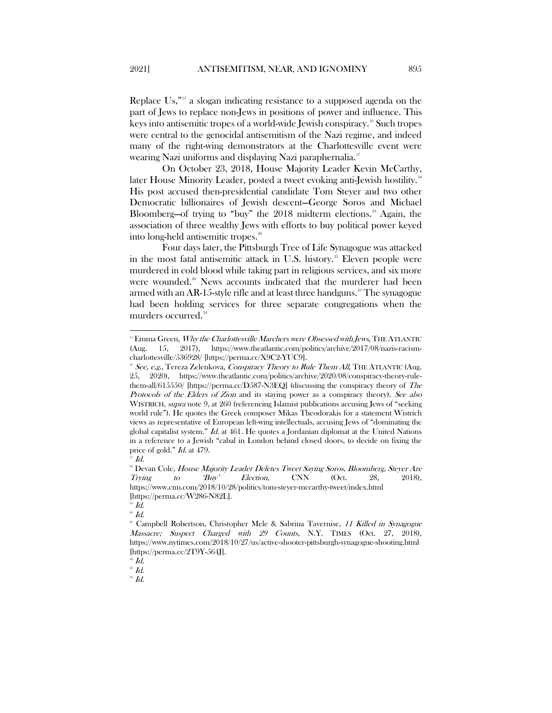Replace Us,"[15](#page-5-0) a slogan indicating resistance to a supposed agenda on the part of Jews to replace non-Jews in positions of power and influence. This keys into antisemitic tropes of a world-wide Jewish conspiracy.<sup>[16](#page-5-1)</sup> Such tropes were central to the genocidal antisemitism of the Nazi regime, and indeed many of the right-wing demonstrators at the Charlottesville event were wearing Nazi uniforms and displaying Nazi paraphernalia.<sup>[17](#page-5-2)</sup>

On October 23, 2018, House Majority Leader Kevin McCarthy, later House Minority Leader, posted a tweet evoking anti-Jewish hostility.<sup>[18](#page-5-3)</sup> His post accused then-presidential candidate Tom Steyer and two other Democratic billionaires of Jewish descent—George Soros and Michael Bloomberg—of trying to "buy" the  $2018$  midterm elections.<sup>[19](#page-5-4)</sup> Again, the association of three wealthy Jews with efforts to buy political power keyed into long-held antisemitic tropes.<sup>[20](#page-5-5)</sup>

Four days later, the Pittsburgh Tree of Life Synagogue was attacked in the most fatal antisemitic attack in U.S. history.<sup>[21](#page-5-6)</sup> Eleven people were murdered in cold blood while taking part in religious services, and six more were wounded.<sup>[22](#page-5-7)</sup> News accounts indicated that the murderer had been armed with an AR-15-style rifle and at least three handguns.<sup>[23](#page-5-8)</sup> The synagogue had been holding services for three separate congregations when the murders occurred.<sup>[24](#page-5-9)</sup>

<span id="page-5-0"></span> $15$  Emma Green, *Why the Charlottesville Marchers were Obsessed with Jews*, THE ATLANTIC (Aug. 15, 2017), https://www.theatlantic.com/politics/archive/2017/08/nazis-racismcharlottesville/536928/ [https://perma.cc/X9C2-YUC9].

<span id="page-5-1"></span>See, e.g., Tereza Zelenkova, Conspiracy Theory to Rule Them All, THE ATLANTIC (Aug. 25, 2020), https://www.theatlantic.com/politics/archive/2020/08/conspiracy-theory-rulethem-all/615550/ [https://perma.cc/D587-N3EQ] (discussing the conspiracy theory of The Protocols of the Elders of Zion and its staying power as a conspiracy theory). See also WISTRICH, *supra* note 9, at 260 (referencing Islamist publications accusing Jews of "seeking" world rule"). He quotes the Greek composer Mikas Theodorakis for a statement Wistrich views as representative of European left-wing intellectuals, accusing Jews of "dominating the global capitalist system."  $Id$ . at 461. He quotes a Jordanian diplomat at the United Nations in a reference to a Jewish "cabal in London behind closed doors, to decide on fixing the price of gold." Id. at 479.

 $\mathbb{Z}$  Id.

<span id="page-5-3"></span><span id="page-5-2"></span><sup>&</sup>lt;sup>18</sup> Devan Cole, *House Majority Leader Deletes Tweet Saying Soros, Bloomberg, Steyer Are*<br> *Trying* to Buy' Election, CNN (Oct. 28, 2018), Trying to 'Buy' Election, CNN (Oct. 28, 2018), https://www.cnn.com/2018/10/28/politics/tom-steyer-mccarthy-tweet/index.html [https://perma.cc/W286-N82L].

 $^{19}$   $Id.$ 

<span id="page-5-5"></span><span id="page-5-4"></span> $20$  Id.

<span id="page-5-6"></span><sup>&</sup>lt;sup>21</sup> Campbell Robertson, Christopher Mele & Sabrina Tavernise, 11 Killed in Synagogue Massacre; Suspect Charged with 29 Counts, N.Y. TIMES (Oct. 27, 2018), https://www.nytimes.com/2018/10/27/us/active-shooter-pittsburgh-synagogue-shooting.html [https://perma.cc/2T9Y-564J].

 $^{2}$  Id.

<span id="page-5-8"></span><span id="page-5-7"></span> $\overline{23}$  Id.

<span id="page-5-9"></span> $^{24}$   $\mathit{Id}.$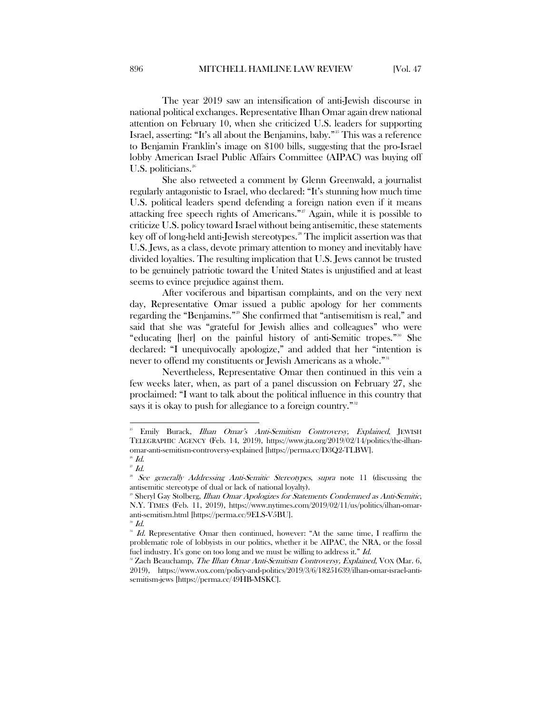The year 2019 saw an intensification of anti-Jewish discourse in national political exchanges. Representative Ilhan Omar again drew national attention on February 10, when she criticized U.S. leaders for supporting Israel, asserting: "It's all about the Benjamins, baby."<sup>[25](#page-6-0)</sup> This was a reference to Benjamin Franklin's image on \$100 bills, suggesting that the pro-Israel lobby American Israel Public Affairs Committee (AIPAC) was buying off U.S. politicians.<sup>[26](#page-6-1)</sup>

She also retweeted a comment by Glenn Greenwald, a journalist regularly antagonistic to Israel, who declared: "It's stunning how much time U.S. political leaders spend defending a foreign nation even if it means attacking free speech rights of Americans."<sup>[27](#page-6-2)</sup> Again, while it is possible to criticize U.S. policy toward Israel without being antisemitic, these statements key off of long-held anti-Jewish stereotypes.<sup>28</sup> The implicit assertion was that U.S. Jews, as a class, devote primary attention to money and inevitably have divided loyalties. The resulting implication that U.S. Jews cannot be trusted to be genuinely patriotic toward the United States is unjustified and at least seems to evince prejudice against them.

After vociferous and bipartisan complaints, and on the very next day, Representative Omar issued a public apology for her comments regarding the "Benjamins."[29](#page-6-4) She confirmed that "antisemitism is real," and said that she was "grateful for Jewish allies and colleagues" who were "educating [her] on the painful history of anti-Semitic tropes."[30](#page-6-5) She declared: "I unequivocally apologize," and added that her "intention is never to offend my constituents or Jewish Americans as a whole."<sup>[31](#page-6-6)</sup>

Nevertheless, Representative Omar then continued in this vein a few weeks later, when, as part of a panel discussion on February 27, she proclaimed: "I want to talk about the political influence in this country that says it is okay to push for allegiance to a foreign country."<sup>[32](#page-6-7)</sup>

<span id="page-6-0"></span><sup>&</sup>lt;sup>25</sup> Emily Burack, *Ilhan Omar's Anti-Semitism Controversy, Explained*, JEWISH TELEGRAPHIC AGENCY (Feb. 14, 2019), https://www.jta.org/2019/02/14/politics/the-ilhanomar-anti-semitism-controversy-explained [https://perma.cc/D3Q2-TLBW].

<span id="page-6-1"></span> $26$  Id.  $27$  Id.

<span id="page-6-3"></span><span id="page-6-2"></span><sup>&</sup>lt;sup>28</sup> See generally Addressing Anti-Semitic Stereotypes, supra note 11 (discussing the antisemitic stereotype of dual or lack of national loyalty).

<span id="page-6-4"></span><sup>&</sup>lt;sup>29</sup> Sheryl Gay Stolberg, *Ilhan Omar Apologizes for Statements Condemned as Anti-Semitic*, N.Y. TIMES (Feb. 11, 2019), https://www.nytimes.com/2019/02/11/us/politics/ilhan-omaranti-semitism.html [https://perma.cc/9ELS-V5BU].

 $30$  Id.

<span id="page-6-6"></span><span id="page-6-5"></span><sup>1</sup>d. Representative Omar then continued, however: "At the same time, I reaffirm the problematic role of lobbyists in our politics, whether it be AIPAC, the NRA, or the fossil fuel industry. It's gone on too long and we must be willing to address it."  $Id$ .

<span id="page-6-7"></span><sup>&</sup>lt;sup>32</sup> Zach Beauchamp, The Ilhan Omar Anti-Semitism Controversy, Explained, VOX (Mar. 6, 2019), https://www.vox.com/policy-and-politics/2019/3/6/18251639/ilhan-omar-israel-antisemitism-jews [https://perma.cc/49HB-MSKC].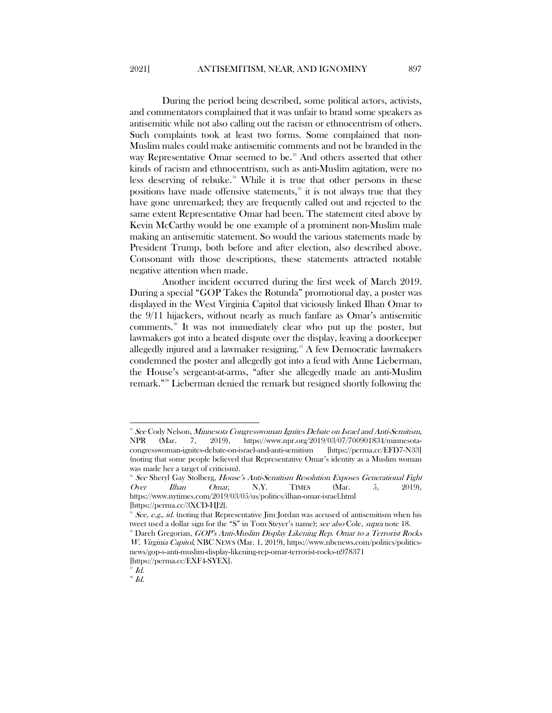During the period being described, some political actors, activists, and commentators complained that it was unfair to brand some speakers as antisemitic while not also calling out the racism or ethnocentrism of others. Such complaints took at least two forms. Some complained that non-Muslim males could make antisemitic comments and not be branded in the way Representative Omar seemed to be.<sup>[33](#page-7-0)</sup> And others asserted that other kinds of racism and ethnocentrism, such as anti-Muslim agitation, were no less deserving of rebuke.<sup>[34](#page-7-1)</sup> While it is true that other persons in these positions have made offensive statements, $35$  it is not always true that they have gone unremarked; they are frequently called out and rejected to the same extent Representative Omar had been. The statement cited above by Kevin McCarthy would be one example of a prominent non-Muslim male making an antisemitic statement. So would the various statements made by President Trump, both before and after election, also described above. Consonant with those descriptions, these statements attracted notable negative attention when made.

Another incident occurred during the first week of March 2019. During a special "GOP Takes the Rotunda" promotional day, a poster was displayed in the West Virginia Capitol that viciously linked Ilhan Omar to the 9/11 hijackers, without nearly as much fanfare as Omar's antisemitic comments.<sup>36</sup> It was not immediately clear who put up the poster, but lawmakers got into a heated dispute over the display, leaving a doorkeeper allegedly injured and a lawmaker resigning.<sup>[37](#page-7-4)</sup> A few Democratic lawmakers condemned the poster and allegedly got into a feud with Anne Lieberman, the House's sergeant-at-arms, "after she allegedly made an anti-Muslim remark."[38](#page-7-5) Lieberman denied the remark but resigned shortly following the

<span id="page-7-0"></span><sup>&</sup>lt;sup>38</sup> See Cody Nelson, *Minnesota Congresswoman Ignites Debate on Israel and Anti-Semitism*,<br>NPR (Mar. 7, 2019), https://www.npr.org/2019/03/07/700901834/minnesota-NPR (Mar. 7, 2019), https://www.npr.org/2019/03/07/700901834/minnesotacongresswoman-ignites-debate-on-israel-and-anti-semitism (noting that some people believed that Representative Omar's identity as a Muslim woman was made her a target of criticism).

<span id="page-7-1"></span><sup>&</sup>lt;sup>34</sup> See Sheryl Gay Stolberg, House's Anti-Semitism Resolution Exposes Generational Fight Over Ilhan Omar, N.Y. TIMES (Mar. 5, 2019), https://www.nytimes.com/2019/03/05/us/politics/ilhan-omar-israel.html

<sup>[</sup>https://perma.cc/3XCD-HJ2].

<span id="page-7-2"></span>See, e.g., id. (noting that Representative Jim Jordan was accused of antisemitism when his tweet used a dollar sign for the "S" in Tom Steyer's name); see also Cole, supra note 18.

<span id="page-7-3"></span> $\overline{36}$  Dareh Gregorian, *GOP's Anti-Muslim Display Likening Rep. Omar to a Terrorist Rocks* W. Virginia Capitol, NBC NEWS (Mar. 1, 2019), https://www.nbcnews.com/politics/politicsnews/gop-s-anti-muslim-display-likening-rep-omar-terrorist-rocks-n978371

<sup>[</sup>https://perma.cc/EXF4-SYEX].

 $^{\scriptscriptstyle\rm F}$  Id.

<span id="page-7-5"></span><span id="page-7-4"></span> $^{\circ}\emph{Id}.$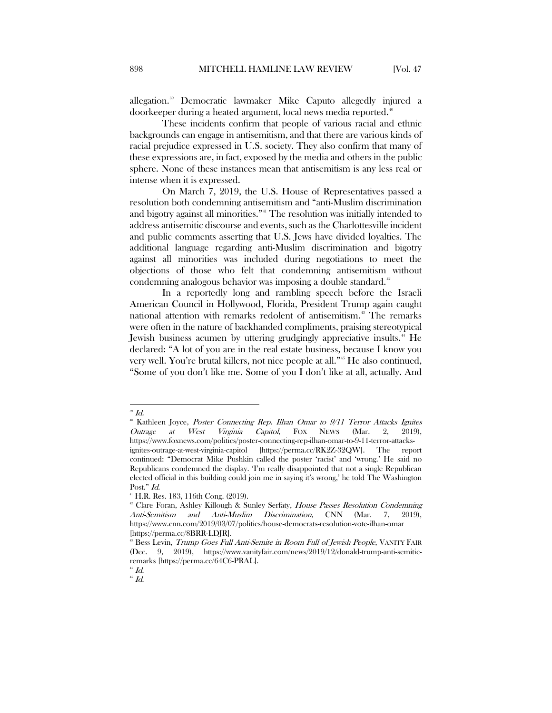allegation.[39](#page-8-0) Democratic lawmaker Mike Caputo allegedly injured a doorkeeper during a heated argument, local news media reported.<sup>[40](#page-8-1)</sup>

These incidents confirm that people of various racial and ethnic backgrounds can engage in antisemitism, and that there are various kinds of racial prejudice expressed in U.S. society. They also confirm that many of these expressions are, in fact, exposed by the media and others in the public sphere. None of these instances mean that antisemitism is any less real or intense when it is expressed.

On March 7, 2019, the U.S. House of Representatives passed a resolution both condemning antisemitism and "anti-Muslim discrimination and bigotry against all minorities."<sup>[41](#page-8-2)</sup> The resolution was initially intended to address antisemitic discourse and events, such as the Charlottesville incident and public comments asserting that U.S. Jews have divided loyalties. The additional language regarding anti-Muslim discrimination and bigotry against all minorities was included during negotiations to meet the objections of those who felt that condemning antisemitism without condemning analogous behavior was imposing a double standard.<sup>[42](#page-8-3)</sup>

In a reportedly long and rambling speech before the Israeli American Council in Hollywood, Florida, President Trump again caught national attention with remarks redolent of antisemitism.[43](#page-8-4) The remarks were often in the nature of backhanded compliments, praising stereotypical Jewish business acumen by uttering grudgingly appreciative insults.<sup>[44](#page-8-5)</sup> He declared: "A lot of you are in the real estate business, because I know you very well. You're brutal killers, not nice people at all."<sup>[45](#page-8-6)</sup> He also continued, "Some of you don't like me. Some of you I don't like at all, actually. And

<span id="page-8-0"></span> $^{\circ}\emph{Id}.$ 

<span id="page-8-1"></span> $^{*}$  Kathleen Joyce, *Poster Connecting Rep. Ilhan Omar to 9/11 Terror Attacks Ignites Outrage at West Virginia Capitol*, FOX NEWS (Mar. 2, 2019), Outrage at West Virginia Capitol, FOX NEWS (Mar. 2, 2019), https://www.foxnews.com/politics/poster-connecting-rep-ilhan-omar-to-9-11-terror-attacksignites-outrage-at-west-virginia-capitol [https://perma.cc/RK2Z-32QW]. The report continued: "Democrat Mike Pushkin called the poster 'racist' and 'wrong.' He said no Republicans condemned the display. 'I'm really disappointed that not a single Republican elected official in this building could join me in saying it's wrong,' he told The Washington Post." Id.

<span id="page-8-2"></span><sup>41</sup> H.R. Res. 183, 116th Cong. (2019).

<span id="page-8-3"></span><sup>&</sup>lt;sup>42</sup> Clare Foran, Ashley Killough & Sunley Serfaty, House Passes Resolution Condemning Anti-Semitism and Anti-Muslim Discrimination, CNN (Mar. 7, 2019), https://www.cnn.com/2019/03/07/politics/house-democrats-resolution-vote-ilhan-omar [https://perma.cc/8BRR-LDJR].

<span id="page-8-4"></span><sup>&</sup>lt;sup>8</sup> Bess Levin, *Trump Goes Full Anti-Semite in Room Full of Jewish People*, VANITY FAIR (Dec. 9, 2019), https://www.vanityfair.com/news/2019/12/donald-trump-anti-semiticremarks [https://perma.cc/64C6-PRAL].

 $^{\mbox{\tiny 44}}$  Id.

<span id="page-8-6"></span><span id="page-8-5"></span> $^{\mbox{\tiny 45}}$   $Id.$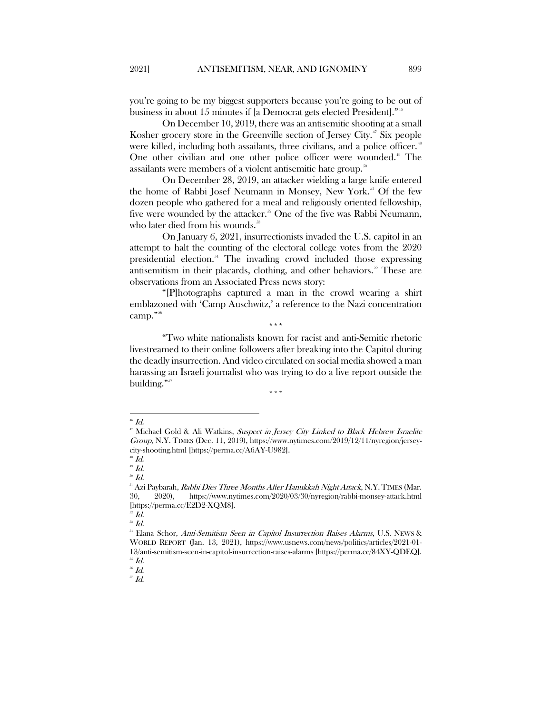you're going to be my biggest supporters because you're going to be out of business in about 15 minutes if [a Democrat gets elected President]."<sup>[46](#page-9-0)</sup>

On December 10, 2019, there was an antisemitic shooting at a small Kosher grocery store in the Greenville section of Jersey City.<sup> $\alpha$ </sup> Six people were killed, including both assailants, three civilians, and a police officer.<sup>[48](#page-9-2)</sup> One other civilian and one other police officer were wounded.<sup>[49](#page-9-3)</sup> The assailants were members of a violent antisemitic hate group.<sup>[50](#page-9-4)</sup>

On December 28, 2019, an attacker wielding a large knife entered the home of Rabbi Josef Neumann in Monsey, New York.<sup>[51](#page-9-5)</sup> Of the few dozen people who gathered for a meal and religiously oriented fellowship, five were wounded by the attacker.<sup>[52](#page-9-6)</sup> One of the five was Rabbi Neumann, who later died from his wounds.<sup>53</sup>

On January 6, 2021, insurrectionists invaded the U.S. capitol in an attempt to halt the counting of the electoral college votes from the 2020 presidential election.[54](#page-9-8) The invading crowd included those expressing antisemitism in their placards, clothing, and other behaviors.<sup>[55](#page-9-9)</sup> These are observations from an Associated Press news story:

"[P]hotographs captured a man in the crowd wearing a shirt emblazoned with 'Camp Auschwitz,' a reference to the Nazi concentration camp."[56](#page-9-10) \*\*\*

"Two white nationalists known for racist and anti-Semitic rhetoric livestreamed to their online followers after breaking into the Capitol during the deadly insurrection. And video circulated on social media showed a man harassing an Israeli journalist who was trying to do a live report outside the building."

\*\*\*

<span id="page-9-2"></span> $^{48}$  Id.

 $J<sup>50</sup>$  Id.

<span id="page-9-10"></span><span id="page-9-9"></span> $^{56}$  Id.

<span id="page-9-11"></span> $J\bar{J}$   $J$ 

<span id="page-9-0"></span> $46$  Id.

<span id="page-9-1"></span><sup>&</sup>lt;sup>17</sup> Michael Gold & Ali Watkins, Suspect in Jersey City Linked to Black Hebrew Israelite Group, N.Y. TIMES (Dec. 11, 2019), https://www.nytimes.com/2019/12/11/nyregion/jerseycity-shooting.html [https://perma.cc/A6AY-U982].

 $^{49}$  Id.

<span id="page-9-5"></span><span id="page-9-4"></span><span id="page-9-3"></span><sup>&</sup>lt;sup>51</sup> Azi Paybarah, *Rabbi Dies Three Months After Hanukkah Night Attack*, N.Y. TIMES (Mar. 30, 2020), https://www.nytimes.com/2020/03/30/nyregion/rabbi-monsey-attack.html [https://perma.cc/E2D2-XQM8].

<span id="page-9-6"></span> $^{52}$  Id.

 $^{53}$  Id.

<span id="page-9-8"></span><span id="page-9-7"></span><sup>&</sup>lt;sup>54</sup> Elana Schor, Anti-Semitism Seen in Capitol Insurrection Raises Alarms, U.S. NEWS & WORLD REPORT (Jan. 13, 2021), https://www.usnews.com/news/politics/articles/2021-01- 13/anti-semitism-seen-in-capitol-insurrection-raises-alarms [https://perma.cc/84XY-QDEQ].  $^{5}$   $Id.$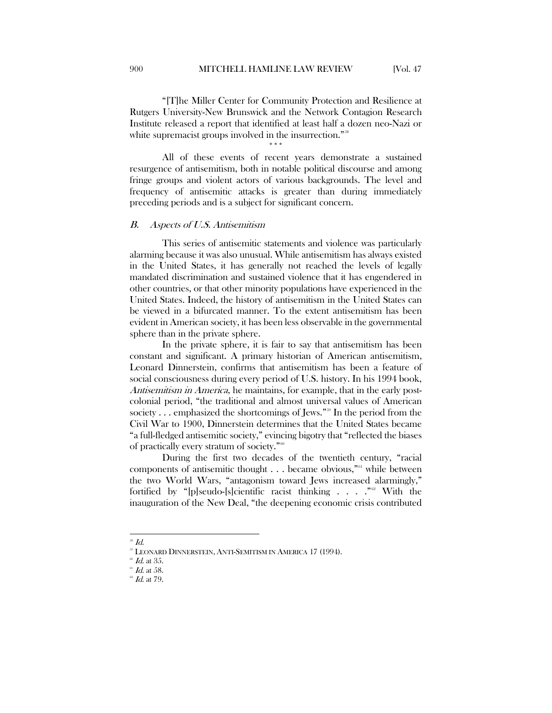"[T]he Miller Center for Community Protection and Resilience at Rutgers University-New Brunswick and the Network Contagion Research Institute released a report that identified at least half a dozen neo-Nazi or white supremacist groups involved in the insurrection."<sup>58</sup>

\*\*\*

All of these events of recent years demonstrate a sustained resurgence of antisemitism, both in notable political discourse and among fringe groups and violent actors of various backgrounds. The level and frequency of antisemitic attacks is greater than during immediately preceding periods and is a subject for significant concern.

# <span id="page-10-0"></span>B. Aspects of U.S. Antisemitism

This series of antisemitic statements and violence was particularly alarming because it was also unusual. While antisemitism has always existed in the United States, it has generally not reached the levels of legally mandated discrimination and sustained violence that it has engendered in other countries, or that other minority populations have experienced in the United States. Indeed, the history of antisemitism in the United States can be viewed in a bifurcated manner. To the extent antisemitism has been evident in American society, it has been less observable in the governmental sphere than in the private sphere.

In the private sphere, it is fair to say that antisemitism has been constant and significant. A primary historian of American antisemitism, Leonard Dinnerstein, confirms that antisemitism has been a feature of social consciousness during every period of U.S. history. In his 1994 book, Antisemitism in America, he maintains, for example, that in the early postcolonial period, "the traditional and almost universal values of American society . . . emphasized the shortcomings of Jews."<sup>[59](#page-10-2)</sup> In the period from the Civil War to 1900, Dinnerstein determines that the United States became "a full-fledged antisemitic society," evincing bigotry that "reflected the biases of practically every stratum of society."<sup>[60](#page-10-3)</sup>

During the first two decades of the twentieth century, "racial components of antisemitic thought  $\dots$  became obvious,"<sup>[61](#page-10-4)</sup> while between the two World Wars, "antagonism toward Jews increased alarmingly," fortified by "[p]seudo-[s]cientific racist thinking  $\ldots$  . . . . With the inauguration of the New Deal, "the deepening economic crisis contributed

<span id="page-10-1"></span> $\overline{a}$  $^{58}$  Id.

<sup>59</sup> LEONARD DINNERSTEIN, ANTI-SEMITISM IN AMERICA 17 (1994).

*Id.* at 35.

<span id="page-10-5"></span><span id="page-10-4"></span><span id="page-10-3"></span><span id="page-10-2"></span> $61$  Id. at 58.

 $\mathscr{C}$  *Id.* at 79.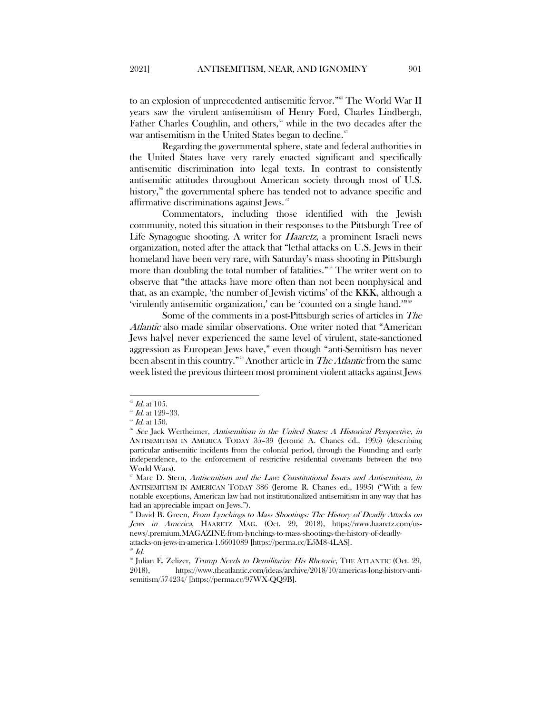to an explosion of unprecedented antisemitic fervor."[63](#page-11-0) The World War II years saw the virulent antisemitism of Henry Ford, Charles Lindbergh, Father Charles Coughlin, and others,<sup>64</sup> while in the two decades after the war antisemitism in the United States began to decline.<sup>[65](#page-11-2)</sup>

Regarding the governmental sphere, state and federal authorities in the United States have very rarely enacted significant and specifically antisemitic discrimination into legal texts. In contrast to consistently antisemitic attitudes throughout American society through most of U.S. history,<sup>66</sup> the governmental sphere has tended not to advance specific and affirmative discriminations against Jews.<sup>[67](#page-11-4)</sup>

Commentators, including those identified with the Jewish community, noted this situation in their responses to the Pittsburgh Tree of Life Synagogue shooting. A writer for *Haaretz*, a prominent Israeli news organization, noted after the attack that "lethal attacks on U.S. Jews in their homeland have been very rare, with Saturday's mass shooting in Pittsburgh more than doubling the total number of fatalities."<sup>[68](#page-11-5)</sup> The writer went on to observe that "the attacks have more often than not been nonphysical and that, as an example, 'the number of Jewish victims' of the KKK, although a 'virulently antisemitic organization,' can be 'counted on a single hand.'"[69](#page-11-6)

Some of the comments in a post-Pittsburgh series of articles in The Atlantic also made similar observations. One writer noted that "American Jews ha[ve] never experienced the same level of virulent, state-sanctioned aggression as European Jews have," even though "anti-Semitism has never been absent in this country."<sup>[70](#page-11-7)</sup> Another article in *The Atlantic* from the same week listed the previous thirteen most prominent violent attacks against Jews

<span id="page-11-0"></span> $^{\circ\circ}$   $Id.$  at 105.

<span id="page-11-1"></span> $^{64}$  *Id.* at 129-33.

<span id="page-11-2"></span> $\mathscr{L}$  Id. at 150.

<span id="page-11-3"></span><sup>&</sup>lt;sup>66</sup> See Jack Wertheimer, Antisemitism in the United States: A Historical Perspective, in ANTISEMITISM IN AMERICA TODAY 35–39 (Jerome A. Chanes ed., 1995) (describing particular antisemitic incidents from the colonial period, through the Founding and early independence, to the enforcement of restrictive residential covenants between the two World Wars).

<span id="page-11-4"></span> $\degree$  Marc D. Stern, Antisemitism and the Law: Constitutional Issues and Antisemitism, in ANTISEMITISM IN AMERICAN TODAY 386 (Jerome R. Chanes ed., 1995) ("With a few notable exceptions, American law had not institutionalized antisemitism in any way that has had an appreciable impact on Jews.").

<span id="page-11-5"></span><sup>&</sup>lt;sup>68</sup> David B. Green, From Lynchings to Mass Shootings: The History of Deadly Attacks on Jews in America, HAARETZ MAG. (Oct. 29, 2018), https://www.haaretz.com/usnews/.premium.MAGAZINE-from-lynchings-to-mass-shootings-the-history-of-deadlyattacks-on-jews-in-america-1.6601089 [https://perma.cc/E5M8-4LAS].

 $\ ^{\scriptscriptstyle \oplus}$  Id.

<span id="page-11-7"></span><span id="page-11-6"></span><sup>&</sup>lt;sup>o</sup> Julian E. Zelizer, *Trump Needs to Demilitarize His Rhetoric*, THE ATLANTIC (Oct. 29, 2018), https://www.theatlantic.com/ideas/archive/2018/10/americas-long-history-antisemitism/574234/ [https://perma.cc/97WX-QQ9B].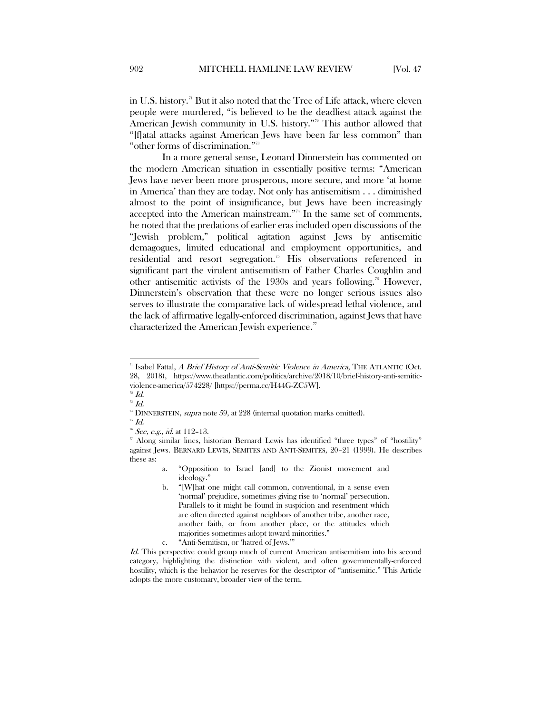in U.S. history.<sup>[71](#page-12-0)</sup> But it also noted that the Tree of Life attack, where eleven people were murdered, "is believed to be the deadliest attack against the American Jewish community in U.S. history."<sup>2</sup> This author allowed that "[f]atal attacks against American Jews have been far less common" than "other forms of discrimination."[73](#page-12-2)

In a more general sense, Leonard Dinnerstein has commented on the modern American situation in essentially positive terms: "American Jews have never been more prosperous, more secure, and more 'at home in America' than they are today. Not only has antisemitism . . . diminished almost to the point of insignificance, but Jews have been increasingly accepted into the American mainstream."[74](#page-12-3) In the same set of comments, he noted that the predations of earlier eras included open discussions of the "Jewish problem," political agitation against Jews by antisemitic demagogues, limited educational and employment opportunities, and residential and resort segregation.<sup>[75](#page-12-4)</sup> His observations referenced in significant part the virulent antisemitism of Father Charles Coughlin and other antisemitic activists of the 1930s and years following.<sup>[76](#page-12-5)</sup> However, Dinnerstein's observation that these were no longer serious issues also serves to illustrate the comparative lack of widespread lethal violence, and the lack of affirmative legally-enforced discrimination, against Jews that have characterized the American Jewish experience.<sup>[77](#page-12-6)</sup>

<span id="page-12-1"></span> $72$  Id.  $\overline{H}$ <sup>73</sup> Id.

<span id="page-12-5"></span><span id="page-12-4"></span><span id="page-12-3"></span><span id="page-12-2"></span> $\overline{\phantom{a}}^{75}$   $Id.$ 

<span id="page-12-0"></span><sup>&</sup>lt;sup>71</sup> Isabel Fattal, A Brief History of Anti-Semitic Violence in America, THE ATLANTIC (Oct. 28, 2018), https://www.theatlantic.com/politics/archive/2018/10/brief-history-anti-semiticviolence-america/574228/ [https://perma.cc/H44G-ZC5W].

 $74$  DINNERSTEIN, supra note 59, at  $228$  (internal quotation marks omitted).

 $76$  See, e.g., id. at 112-13.

<span id="page-12-6"></span><sup>77</sup> Along similar lines, historian Bernard Lewis has identified "three types" of "hostility" against Jews. BERNARD LEWIS, SEMITES AND ANTI-SEMITES, 20–21 (1999). He describes these as:

a. "Opposition to Israel [and] to the Zionist movement and ideology."

b. "[W]hat one might call common, conventional, in a sense even 'normal' prejudice, sometimes giving rise to 'normal' persecution. Parallels to it might be found in suspicion and resentment which are often directed against neighbors of another tribe, another race, another faith, or from another place, or the attitudes which majorities sometimes adopt toward minorities."

c. "Anti-Semitism, or 'hatred of Jews.'"

Id. This perspective could group much of current American antisemitism into his second category, highlighting the distinction with violent, and often governmentally-enforced hostility, which is the behavior he reserves for the descriptor of "antisemitic." This Article adopts the more customary, broader view of the term.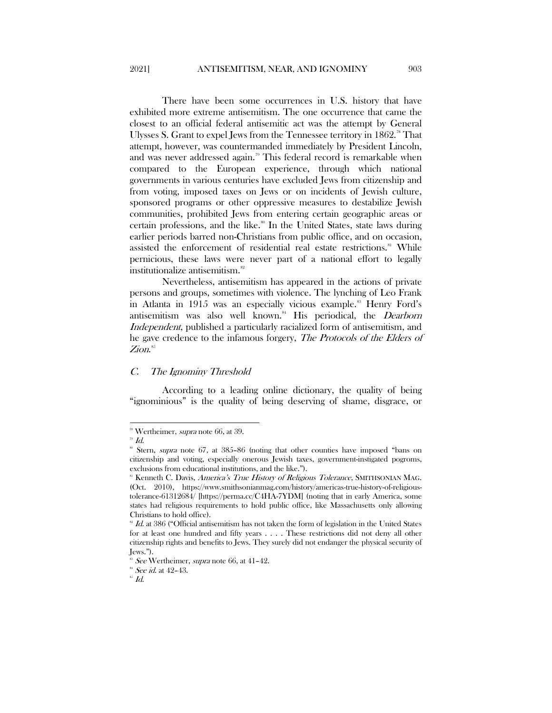There have been some occurrences in U.S. history that have exhibited more extreme antisemitism. The one occurrence that came the closest to an official federal antisemitic act was the attempt by General Ulysses S. Grant to expel Jews from the Tennessee territory in  $1862.^n$  That attempt, however, was countermanded immediately by President Lincoln, and was never addressed again.<sup>[79](#page-13-2)</sup> This federal record is remarkable when compared to the European experience, through which national governments in various centuries have excluded Jews from citizenship and from voting, imposed taxes on Jews or on incidents of Jewish culture, sponsored programs or other oppressive measures to destabilize Jewish communities, prohibited Jews from entering certain geographic areas or certain professions, and the like.<sup>[80](#page-13-3)</sup> In the United States, state laws during earlier periods barred non-Christians from public office, and on occasion, assisted the enforcement of residential real estate restrictions.<sup>[81](#page-13-4)</sup> While pernicious, these laws were never part of a national effort to legally institutionalize antisemitism.<sup>[82](#page-13-5)</sup>

Nevertheless, antisemitism has appeared in the actions of private persons and groups, sometimes with violence. The lynching of Leo Frank in Atlanta in 1915 was an especially vicious example.<sup>[83](#page-13-6)</sup> Henry Ford's antisemitism was also well known.<sup>[84](#page-13-7)</sup> His periodical, the *Dearborn* Independent, published a particularly racialized form of antisemitism, and he gave credence to the infamous forgery, The Protocols of the Elders of Zion. $^{\mathrm{ss}}$ 

# <span id="page-13-0"></span>C. The Ignominy Threshold

According to a leading online dictionary, the quality of being "ignominious" is the quality of being deserving of shame, disgrace, or

l

<span id="page-13-2"></span><span id="page-13-1"></span><sup>&</sup>lt;sup>28</sup> Wertheimer, *supra* note 66, at 39.<br><sup>29</sup> Id.

<span id="page-13-3"></span><sup>&</sup>lt;sup>80</sup> Stern, *supra* note 67, at 385-86 (noting that other counties have imposed "bans on citizenship and voting, especially onerous Jewish taxes, government-instigated pogroms, exclusions from educational institutions, and the like.").

<span id="page-13-4"></span><sup>&</sup>lt;sup>81</sup> Kenneth C. Davis, America's True History of Religious Tolerance, SMITHSONIAN MAG. (Oct. 2010), https://www.smithsonianmag.com/history/americas-true-history-of-religioustolerance-61312684/ [https://perma.cc/C4HA-7YDM] (noting that in early America, some states had religious requirements to hold public office, like Massachusetts only allowing Christians to hold office).

<span id="page-13-5"></span> $82$  Id. at 386 ("Official antisemitism has not taken the form of legislation in the United States for at least one hundred and fifty years . . . . These restrictions did not deny all other citizenship rights and benefits to Jews. They surely did not endanger the physical security of Jews.").

<span id="page-13-6"></span>See Wertheimer, *supra* note 66, at 41-42.

 $s<sup>a</sup>$  See id. at 42-43.

<span id="page-13-8"></span><span id="page-13-7"></span> $^{\mathrm{ss}}$   $\mathit{Id}.$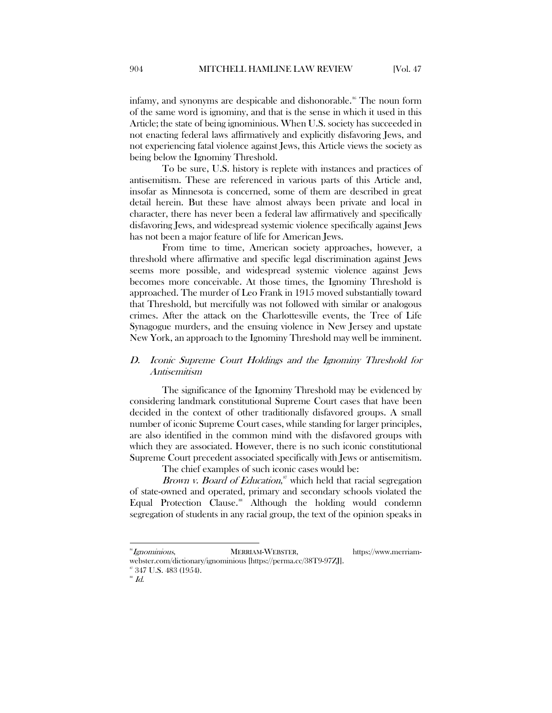infamy, and synonyms are despicable and dishonorable.<sup>[86](#page-14-1)</sup> The noun form of the same word is ignominy, and that is the sense in which it used in this Article; the state of being ignominious. When U.S. society has succeeded in not enacting federal laws affirmatively and explicitly disfavoring Jews, and not experiencing fatal violence against Jews, this Article views the society as being below the Ignominy Threshold.

To be sure, U.S. history is replete with instances and practices of antisemitism. These are referenced in various parts of this Article and, insofar as Minnesota is concerned, some of them are described in great detail herein. But these have almost always been private and local in character, there has never been a federal law affirmatively and specifically disfavoring Jews, and widespread systemic violence specifically against Jews has not been a major feature of life for American Jews.

From time to time, American society approaches, however, a threshold where affirmative and specific legal discrimination against Jews seems more possible, and widespread systemic violence against Jews becomes more conceivable. At those times, the Ignominy Threshold is approached. The murder of Leo Frank in 1915 moved substantially toward that Threshold, but mercifully was not followed with similar or analogous crimes. After the attack on the Charlottesville events, the Tree of Life Synagogue murders, and the ensuing violence in New Jersey and upstate New York, an approach to the Ignominy Threshold may well be imminent.

# <span id="page-14-0"></span>D. Iconic Supreme Court Holdings and the Ignominy Threshold for Antisemitism

The significance of the Ignominy Threshold may be evidenced by considering landmark constitutional Supreme Court cases that have been decided in the context of other traditionally disfavored groups. A small number of iconic Supreme Court cases, while standing for larger principles, are also identified in the common mind with the disfavored groups with which they are associated. However, there is no such iconic constitutional Supreme Court precedent associated specifically with Jews or antisemitism.

The chief examples of such iconic cases would be:

Brown v. Board of Education,<sup>[87](#page-14-2)</sup> which held that racial segregation of state-owned and operated, primary and secondary schools violated the Equal Protection Clause.<sup>[88](#page-14-3)</sup> Although the holding would condemn segregation of students in any racial group, the text of the opinion speaks in

l

<span id="page-14-1"></span><sup>&</sup>lt;sup>86</sup>Ignominious, MERRIAM-WEBSTER, https://www.merriam-

webster.com/dictionary/ignominious [https://perma.cc/38T9-97ZJ].<br><sup>87</sup> 347 U.S. 483 (1954).

<span id="page-14-2"></span>

<span id="page-14-3"></span> $^{\circ\circ}$   $Id.$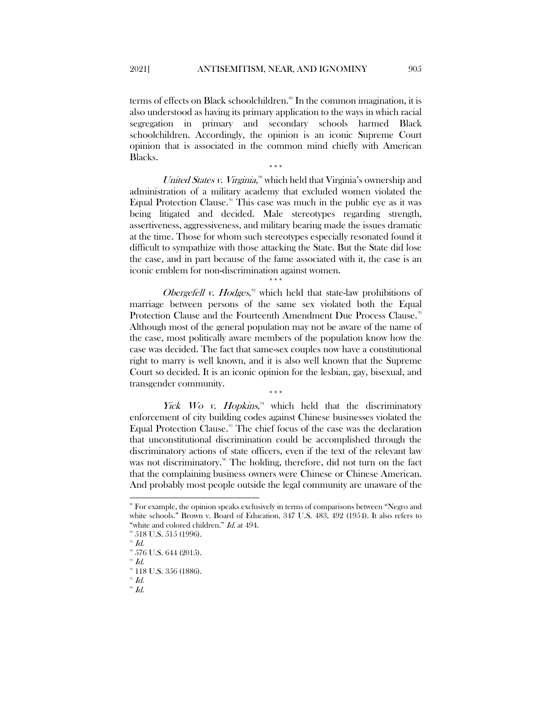terms of effects on Black schoolchildren.<sup>[89](#page-15-0)</sup> In the common imagination, it is also understood as having its primary application to the ways in which racial segregation in primary and secondary schools harmed Black schoolchildren. Accordingly, the opinion is an iconic Supreme Court opinion that is associated in the common mind chiefly with American Blacks.

\*\*\*

United States v. Virginia,<sup>[90](#page-15-1)</sup> which held that Virginia's ownership and administration of a military academy that excluded women violated the Equal Protection Clause.<sup>[91](#page-15-2)</sup> This case was much in the public eye as it was being litigated and decided. Male stereotypes regarding strength, assertiveness, aggressiveness, and military bearing made the issues dramatic at the time. Those for whom such stereotypes especially resonated found it difficult to sympathize with those attacking the State. But the State did lose the case, and in part because of the fame associated with it, the case is an iconic emblem for non-discrimination against women.

\*\*\* Obergefell v. Hodges,<sup>[92](#page-15-3)</sup> which held that state-law prohibitions of marriage between persons of the same sex violated both the Equal Protection Clause and the Fourteenth Amendment Due Process Clause.<sup>[93](#page-15-4)</sup> Although most of the general population may not be aware of the name of the case, most politically aware members of the population know how the case was decided. The fact that same-sex couples now have a constitutional right to marry is well known, and it is also well known that the Supreme Court so decided. It is an iconic opinion for the lesbian, gay, bisexual, and transgender community.

Yick Wo v. Hopkins, $\frac{94}{4}$  $\frac{94}{4}$  $\frac{94}{4}$  which held that the discriminatory enforcement of city building codes against Chinese businesses violated the Equal Protection Clause.<sup> $95$ </sup> The chief focus of the case was the declaration that unconstitutional discrimination could be accomplished through the discriminatory actions of state officers, even if the text of the relevant law was not discriminatory.<sup>[96](#page-15-7)</sup> The holding, therefore, did not turn on the fact that the complaining business owners were Chinese or Chinese American. And probably most people outside the legal community are unaware of the

\*\*\*

<span id="page-15-7"></span> $96$   $Id.$ 

<span id="page-15-0"></span> <sup>89</sup> For example, the opinion speaks exclusively in terms of comparisons between "Negro and white schools." Brown v. Board of Education, 347 U.S. 483, 492 (1954). It also refers to "white and colored children." *Id.* at 494.

<span id="page-15-3"></span><span id="page-15-2"></span><span id="page-15-1"></span> $90$  518 U.S. 515 (1996).

 $^{91}$  Id.

 $92$  576 U.S. 644 (2015).

<span id="page-15-4"></span> $93$  Id. <sup>94</sup> 118 U.S. 356 (1886).

<span id="page-15-6"></span><span id="page-15-5"></span> $^{5}$   $Id.$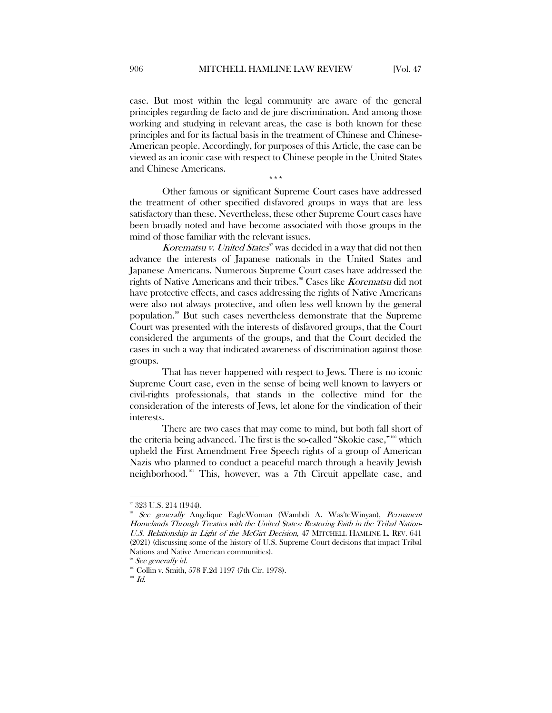case. But most within the legal community are aware of the general principles regarding de facto and de jure discrimination. And among those working and studying in relevant areas, the case is both known for these principles and for its factual basis in the treatment of Chinese and Chinese-American people. Accordingly, for purposes of this Article, the case can be viewed as an iconic case with respect to Chinese people in the United States and Chinese Americans.

\*\*\*

Other famous or significant Supreme Court cases have addressed the treatment of other specified disfavored groups in ways that are less satisfactory than these. Nevertheless, these other Supreme Court cases have been broadly noted and have become associated with those groups in the mind of those familiar with the relevant issues.

Korematsu v. United States<sup> $\pi$ </sup> was decided in a way that did not then advance the interests of Japanese nationals in the United States and Japanese Americans. Numerous Supreme Court cases have addressed the rights of Native Americans and their tribes.<sup>88</sup> Cases like Korematsu did not have protective effects, and cases addressing the rights of Native Americans were also not always protective, and often less well known by the general population.[99](#page-16-2) But such cases nevertheless demonstrate that the Supreme Court was presented with the interests of disfavored groups, that the Court considered the arguments of the groups, and that the Court decided the cases in such a way that indicated awareness of discrimination against those groups.

That has never happened with respect to Jews. There is no iconic Supreme Court case, even in the sense of being well known to lawyers or civil-rights professionals, that stands in the collective mind for the consideration of the interests of Jews, let alone for the vindication of their interests.

There are two cases that may come to mind, but both fall short of the criteria being advanced. The first is the so-called "Skokie case,"<sup>[100](#page-16-3)</sup> which upheld the First Amendment Free Speech rights of a group of American Nazis who planned to conduct a peaceful march through a heavily Jewish neighborhood.[101](#page-16-4) This, however, was a 7th Circuit appellate case, and

 <sup>97</sup> 323 U.S. 214 (1944).

<span id="page-16-1"></span><span id="page-16-0"></span><sup>&</sup>lt;sup>8</sup> See generally Angelique EagleWoman (Wambdi A. Was'teWinyan), Permanent Homelands Through Treaties with the United States: Restoring Faith in the Tribal Nation-U.S. Relationship in Light of the McGirt Decision, 47 MITCHELL HAMLINE L. REV. 641 (2021) (discussing some of the history of U.S. Supreme Court decisions that impact Tribal Nations and Native American communities).

See generally id.

<span id="page-16-3"></span><span id="page-16-2"></span><sup>100</sup> Collin v. Smith, 578 F.2d 1197 (7th Cir. 1978).

<span id="page-16-4"></span> $^{\scriptscriptstyle 101}$   $Id.$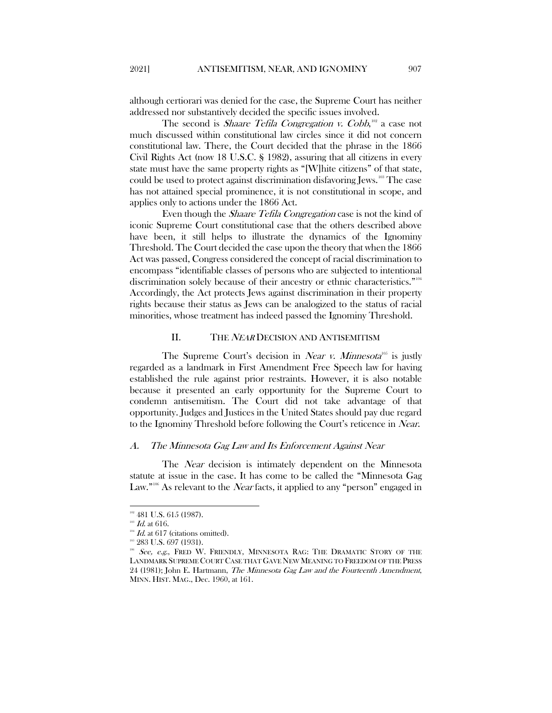although certiorari was denied for the case, the Supreme Court has neither addressed nor substantively decided the specific issues involved.

The second is *Shaare Tefila Congregation v. Cobb*,<sup>[102](#page-17-2)</sup> a case not much discussed within constitutional law circles since it did not concern constitutional law. There, the Court decided that the phrase in the 1866 Civil Rights Act (now 18 U.S.C. § 1982), assuring that all citizens in every state must have the same property rights as "[W]hite citizens" of that state, could be used to protect against discrimination disfavoring Jews.[103](#page-17-3) The case has not attained special prominence, it is not constitutional in scope, and applies only to actions under the 1866 Act.

Even though the Shaare Tefila Congregation case is not the kind of iconic Supreme Court constitutional case that the others described above have been, it still helps to illustrate the dynamics of the Ignominy Threshold. The Court decided the case upon the theory that when the 1866 Act was passed, Congress considered the concept of racial discrimination to encompass "identifiable classes of persons who are subjected to intentional discrimination solely because of their ancestry or ethnic characteristics."<sup>[104](#page-17-4)</sup> Accordingly, the Act protects Jews against discrimination in their property rights because their status as Jews can be analogized to the status of racial minorities, whose treatment has indeed passed the Ignominy Threshold.

## II. THE *NEAR* DECISION AND ANTISEMITISM

<span id="page-17-0"></span>The Supreme Court's decision in *Near v. Minnesota*<sup>[105](#page-17-5)</sup> is justly regarded as a landmark in First Amendment Free Speech law for having established the rule against prior restraints. However, it is also notable because it presented an early opportunity for the Supreme Court to condemn antisemitism. The Court did not take advantage of that opportunity. Judges and Justices in the United States should pay due regard to the Ignominy Threshold before following the Court's reticence in Near.

#### <span id="page-17-1"></span>A. The Minnesota Gag Law and Its Enforcement Against Near

The *Near* decision is intimately dependent on the Minnesota statute at issue in the case. It has come to be called the "Minnesota Gag Law."<sup>[106](#page-17-6)</sup> As relevant to the *Near* facts, it applied to any "person" engaged in

 $\overline{a}$ 

<span id="page-17-2"></span><sup>&</sup>lt;sup>102</sup> 481 U.S. 615 (1987).

<span id="page-17-3"></span> $103$  *Id.* at 616.

<span id="page-17-4"></span> $Id.$  at  $617$  (citations omitted).

<sup>&</sup>lt;sup>105</sup> 283 U.S. 697 (1931).

<span id="page-17-6"></span><span id="page-17-5"></span> $106$  See, e.g., FRED W. FRIENDLY, MINNESOTA RAG: THE DRAMATIC STORY OF THE LANDMARK SUPREME COURT CASE THAT GAVE NEW MEANING TO FREEDOM OF THE PRESS 24 (1981); John E. Hartmann, The Minnesota Gag Law and the Fourteenth Amendment, MINN. HIST. MAG., Dec. 1960, at 161.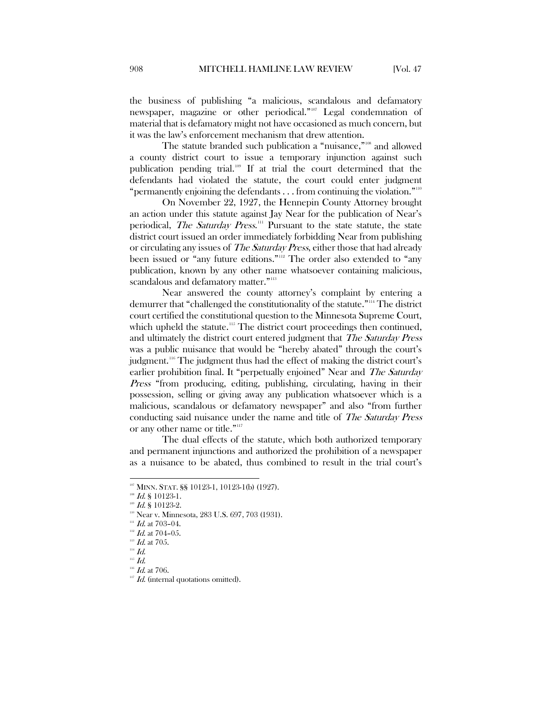the business of publishing "a malicious, scandalous and defamatory newspaper, magazine or other periodical."<sup>[107](#page-18-0)</sup> Legal condemnation of material that is defamatory might not have occasioned as much concern, but it was the law's enforcement mechanism that drew attention.

The statute branded such publication a "nuisance,"<sup>[108](#page-18-1)</sup> and allowed a county district court to issue a temporary injunction against such publication pending trial.[109](#page-18-2) If at trial the court determined that the defendants had violated the statute, the court could enter judgment "permanently enjoining the defendants  $\ldots$  from continuing the violation."<sup>[110](#page-18-3)</sup>

On November 22, 1927, the Hennepin County Attorney brought an action under this statute against Jay Near for the publication of Near's periodical, *The Saturday Press*.<sup>[111](#page-18-4)</sup> Pursuant to the state statute, the state district court issued an order immediately forbidding Near from publishing or circulating any issues of *The Saturday Press*, either those that had already been issued or "any future editions."<sup>[112](#page-18-5)</sup> The order also extended to "any publication, known by any other name whatsoever containing malicious, scandalous and defamatory matter."<sup>[113](#page-18-6)</sup>

Near answered the county attorney's complaint by entering a demurrer that "challenged the constitutionality of the statute."[114](#page-18-7) The district court certified the constitutional question to the Minnesota Supreme Court, which upheld the statute.<sup>[115](#page-18-8)</sup> The district court proceedings then continued, and ultimately the district court entered judgment that The Saturday Press was a public nuisance that would be "hereby abated" through the court's judgment.[116](#page-18-9) The judgment thus had the effect of making the district court's earlier prohibition final. It "perpetually enjoined" Near and The Saturday Press "from producing, editing, publishing, circulating, having in their possession, selling or giving away any publication whatsoever which is a malicious, scandalous or defamatory newspaper" and also "from further conducting said nuisance under the name and title of The Saturday Press or any other name or title."[117](#page-18-10)

The dual effects of the statute, which both authorized temporary and permanent injunctions and authorized the prohibition of a newspaper as a nuisance to be abated, thus combined to result in the trial court's

<span id="page-18-0"></span><sup>107</sup> MINN. STAT. §§ 10123-1, 10123-1(b) (1927).

 $108$  *Id.* § 10123-1.

 $109$  *Id.* § 10123-2.

<span id="page-18-3"></span><span id="page-18-2"></span><span id="page-18-1"></span>Near v. Minnesota, 283 U.S. 697, 703 (1931).

 $111$  Id. at 703-04.

<span id="page-18-6"></span><span id="page-18-5"></span><span id="page-18-4"></span> $112$  *Id.* at 704-05.

 $^{113}$  *Id.* at 705.

 $^{114}$   $\emph{Id.}$ 

<span id="page-18-7"></span> $115$  *Id.* 

<span id="page-18-10"></span><span id="page-18-9"></span><span id="page-18-8"></span> $^{116}$  *Id.* at 706.

<sup>&</sup>lt;sup>117</sup> Id. (internal quotations omitted).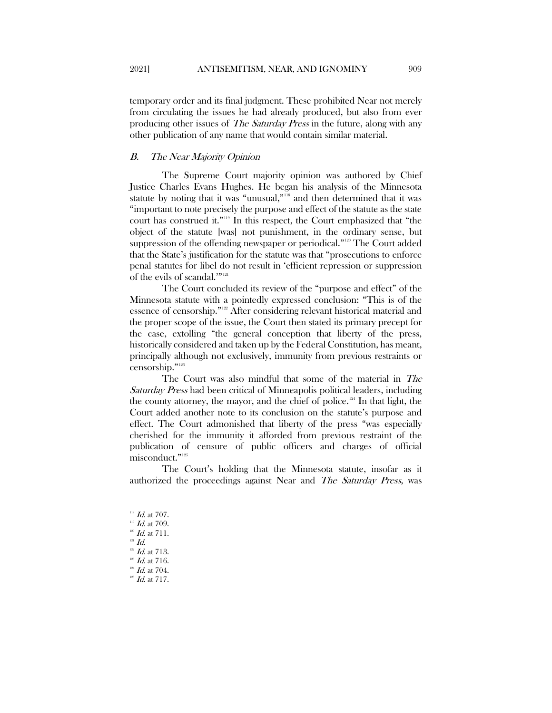temporary order and its final judgment. These prohibited Near not merely from circulating the issues he had already produced, but also from ever producing other issues of The Saturday Press in the future, along with any other publication of any name that would contain similar material.

# <span id="page-19-0"></span>B. The Near Majority Opinion

The Supreme Court majority opinion was authored by Chief Justice Charles Evans Hughes. He began his analysis of the Minnesota statute by noting that it was "unusual,"[118](#page-19-1) and then determined that it was "important to note precisely the purpose and effect of the statute as the state court has construed it."[119](#page-19-2) In this respect, the Court emphasized that "the object of the statute [was] not punishment, in the ordinary sense, but suppression of the offending newspaper or periodical."<sup>120</sup> The Court added that the State's justification for the statute was that "prosecutions to enforce penal statutes for libel do not result in 'efficient repression or suppression of the evils of scandal."<sup>"[121](#page-19-4)</sup>

The Court concluded its review of the "purpose and effect" of the Minnesota statute with a pointedly expressed conclusion: "This is of the essence of censorship."[122](#page-19-5) After considering relevant historical material and the proper scope of the issue, the Court then stated its primary precept for the case, extolling "the general conception that liberty of the press, historically considered and taken up by the Federal Constitution, has meant, principally although not exclusively, immunity from previous restraints or censorship."<sup>[123](#page-19-6)</sup>

The Court was also mindful that some of the material in The Saturday Press had been critical of Minneapolis political leaders, including the county attorney, the mayor, and the chief of police.[124](#page-19-7) In that light, the Court added another note to its conclusion on the statute's purpose and effect. The Court admonished that liberty of the press "was especially cherished for the immunity it afforded from previous restraint of the publication of censure of public officers and charges of official misconduct."[125](#page-19-8)

The Court's holding that the Minnesota statute, insofar as it authorized the proceedings against Near and The Saturday Press, was

 $\overline{a}$ 

 $^{118}$  *Id.* at 707.

<span id="page-19-1"></span> $^{119}$  *Id.* at 709.

<span id="page-19-4"></span><span id="page-19-3"></span><span id="page-19-2"></span> $120$  *Id.* at 711.

 $121$   $Id.$ 

 $122$  *Id.* at 713.

<span id="page-19-7"></span><span id="page-19-6"></span><span id="page-19-5"></span> $^{123}$  Id. at 716.

 $124$  *Id.* at 704.

<span id="page-19-8"></span> $^{^{\rm 125}}$   $Id.$  at 717.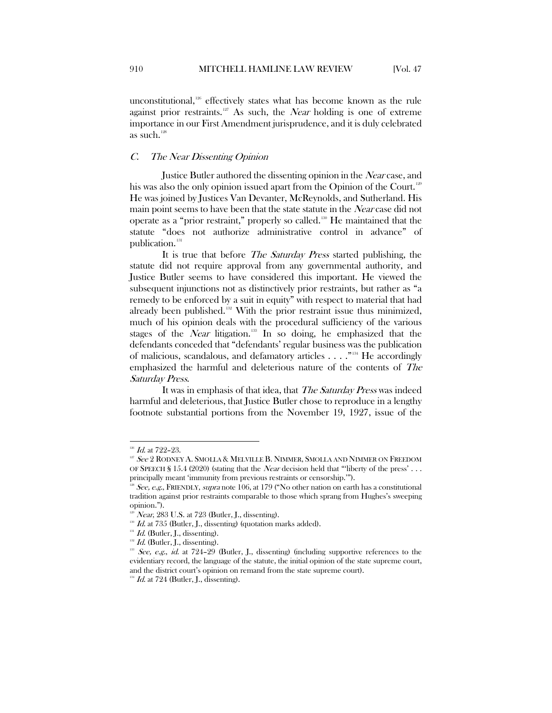unconstitutional, $126$  effectively states what has become known as the rule against prior restraints.<sup>[127](#page-20-2)</sup> As such, the *Near* holding is one of extreme importance in our First Amendment jurisprudence, and it is duly celebrated as such.<sup>[128](#page-20-3)</sup>

## <span id="page-20-0"></span>C. The Near Dissenting Opinion

Justice Butler authored the dissenting opinion in the Near case, and his was also the only opinion issued apart from the Opinion of the Court.<sup>[129](#page-20-4)</sup> He was joined by Justices Van Devanter, McReynolds, and Sutherland. His main point seems to have been that the state statute in the *Near* case did not operate as a "prior restraint," properly so called.[130](#page-20-5) He maintained that the statute "does not authorize administrative control in advance" of publication.<sup>[131](#page-20-6)</sup>

It is true that before The Saturday Press started publishing, the statute did not require approval from any governmental authority, and Justice Butler seems to have considered this important. He viewed the subsequent injunctions not as distinctively prior restraints, but rather as "a remedy to be enforced by a suit in equity" with respect to material that had already been published.<sup>[132](#page-20-7)</sup> With the prior restraint issue thus minimized, much of his opinion deals with the procedural sufficiency of the various stages of the Near litigation.<sup>[133](#page-20-8)</sup> In so doing, he emphasized that the defendants conceded that "defendants' regular business was the publication of malicious, scandalous, and defamatory articles  $\dots$ ."<sup>[134](#page-20-9)</sup> He accordingly emphasized the harmful and deleterious nature of the contents of The Saturday Press.

It was in emphasis of that idea, that The Saturday Press was indeed harmful and deleterious, that Justice Butler chose to reproduce in a lengthy footnote substantial portions from the November 19, 1927, issue of the

 $\overline{a}$ 

 $126$  Id. at 722–23.

<span id="page-20-2"></span><span id="page-20-1"></span><sup>&</sup>lt;sup>127</sup> See 2 RODNEY A. SMOLLA & MELVILLE B. NIMMER. SMOLLA AND NIMMER ON FREEDOM OF SPEECH § 15.4 (2020) (stating that the *Near* decision held that "liberty of the press' . . . principally meant 'immunity from previous restraints or censorship.'").

<span id="page-20-3"></span><sup>&</sup>lt;sup>128</sup> See, e.g., FRIENDLY, supra note 106, at 179 ("No other nation on earth has a constitutional tradition against prior restraints comparable to those which sprang from Hughes's sweeping opinion.").

Near, 283 U.S. at 723 (Butler, J., dissenting).

<span id="page-20-6"></span><span id="page-20-5"></span><span id="page-20-4"></span> $130$  Id. at 735 (Butler, J., dissenting) (quotation marks added).

 $131$  *Id.* (Butler, J., dissenting).

<span id="page-20-7"></span> $132$  *Id.* (Butler, J., dissenting).

<span id="page-20-8"></span> $1^{133}$  See, e.g., id. at 724–29 (Butler, J., dissenting) (including supportive references to the evidentiary record, the language of the statute, the initial opinion of the state supreme court, and the district court's opinion on remand from the state supreme court).

<span id="page-20-9"></span> $134$  *Id.* at 724 (Butler, J., dissenting).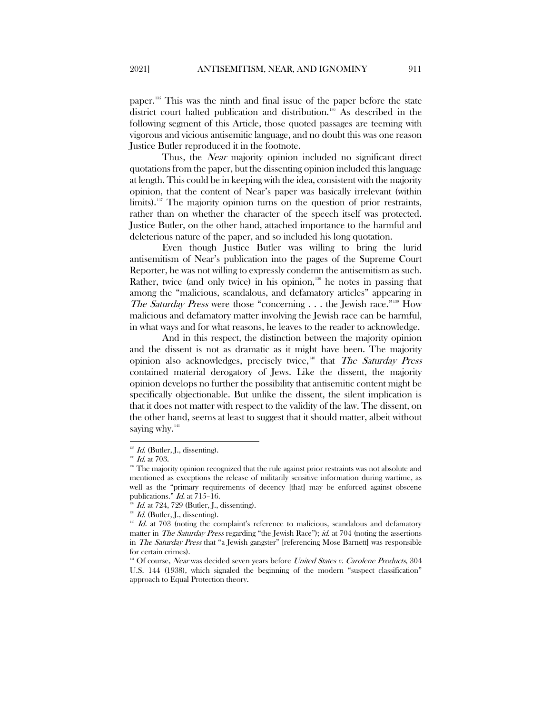paper.[135](#page-21-0) This was the ninth and final issue of the paper before the state district court halted publication and distribution.<sup>[136](#page-21-1)</sup> As described in the following segment of this Article, those quoted passages are teeming with vigorous and vicious antisemitic language, and no doubt this was one reason Justice Butler reproduced it in the footnote.

Thus, the *Near* majority opinion included no significant direct quotations from the paper, but the dissenting opinion included this language at length. This could be in keeping with the idea, consistent with the majority opinion, that the content of Near's paper was basically irrelevant (within limits).<sup>[137](#page-21-2)</sup> The majority opinion turns on the question of prior restraints, rather than on whether the character of the speech itself was protected. Justice Butler, on the other hand, attached importance to the harmful and deleterious nature of the paper, and so included his long quotation.

Even though Justice Butler was willing to bring the lurid antisemitism of Near's publication into the pages of the Supreme Court Reporter, he was not willing to expressly condemn the antisemitism as such. Rather, twice (and only twice) in his opinion, $138$  he notes in passing that among the "malicious, scandalous, and defamatory articles" appearing in The Saturday Press were those "concerning  $\ldots$  the Jewish race."<sup>[139](#page-21-4)</sup> How malicious and defamatory matter involving the Jewish race can be harmful, in what ways and for what reasons, he leaves to the reader to acknowledge.

And in this respect, the distinction between the majority opinion and the dissent is not as dramatic as it might have been. The majority opinion also acknowledges, precisely twice,<sup>[140](#page-21-5)</sup> that The Saturday Press contained material derogatory of Jews. Like the dissent, the majority opinion develops no further the possibility that antisemitic content might be specifically objectionable. But unlike the dissent, the silent implication is that it does not matter with respect to the validity of the law. The dissent, on the other hand, seems at least to suggest that it should matter, albeit without saying why.<sup>[141](#page-21-6)</sup>

<span id="page-21-0"></span> $^{135}$  *Id.* (Butler, J., dissenting).

<sup>&</sup>lt;sup>136</sup> Id. at 703.

<span id="page-21-2"></span><span id="page-21-1"></span><sup>&</sup>lt;sup>137</sup> The majority opinion recognized that the rule against prior restraints was not absolute and mentioned as exceptions the release of militarily sensitive information during wartime, as well as the "primary requirements of decency [that] may be enforced against obscene publications." Id. at 715–16.

<span id="page-21-3"></span>Id. at 724, 729 (Butler, J., dissenting).

<span id="page-21-4"></span> $^{139}$  *Id.* (Butler, J., dissenting).

<span id="page-21-5"></span> $140$  Id. at 703 (noting the complaint's reference to malicious, scandalous and defamatory matter in The Saturday Press regarding "the Jewish Race"); id. at 704 (noting the assertions in The Saturday Press that "a Jewish gangster" [referencing Mose Barnett] was responsible for certain crimes).

<span id="page-21-6"></span><sup>&</sup>lt;sup>141</sup> Of course, Near was decided seven years before United States v. Carolene Products, 304 U.S. 144 (1938), which signaled the beginning of the modern "suspect classification" approach to Equal Protection theory.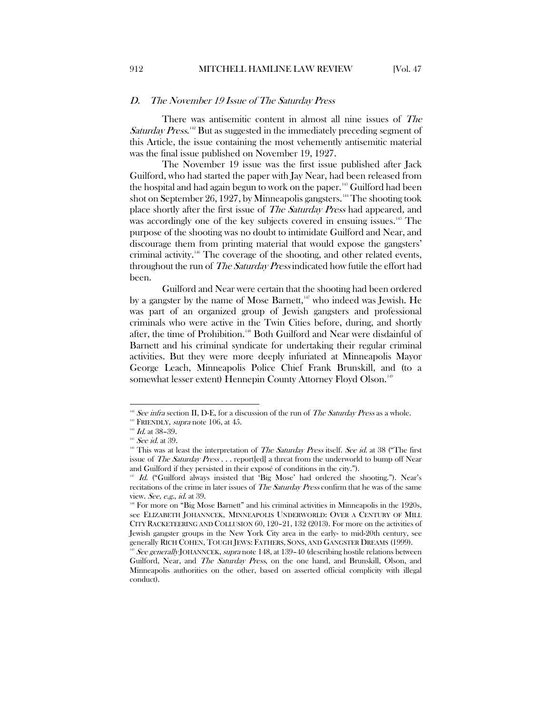#### <span id="page-22-0"></span>D. The November 19 Issue of The Saturday Press

There was antisemitic content in almost all nine issues of The Saturday Press.<sup>[142](#page-22-1)</sup> But as suggested in the immediately preceding segment of this Article, the issue containing the most vehemently antisemitic material was the final issue published on November 19, 1927.

The November 19 issue was the first issue published after Jack Guilford, who had started the paper with Jay Near, had been released from the hospital and had again begun to work on the paper.<sup>[143](#page-22-2)</sup> Guilford had been shot on September 26, 1927, by Minneapolis gangsters.<sup>14</sup> The shooting took place shortly after the first issue of The Saturday Press had appeared, and was accordingly one of the key subjects covered in ensuing issues.<sup>[145](#page-22-4)</sup> The purpose of the shooting was no doubt to intimidate Guilford and Near, and discourage them from printing material that would expose the gangsters' criminal activity.[146](#page-22-5) The coverage of the shooting, and other related events, throughout the run of *The Saturday Press* indicated how futile the effort had been.

Guilford and Near were certain that the shooting had been ordered by a gangster by the name of Mose Barnett, $147$  who indeed was Jewish. He was part of an organized group of Jewish gangsters and professional criminals who were active in the Twin Cities before, during, and shortly after, the time of Prohibition.[148](#page-22-7) Both Guilford and Near were disdainful of Barnett and his criminal syndicate for undertaking their regular criminal activities. But they were more deeply infuriated at Minneapolis Mayor George Leach, Minneapolis Police Chief Frank Brunskill, and (to a somewhat lesser extent) Hennepin County Attorney Floyd Olson.<sup>[149](#page-22-8)</sup>

 $\overline{a}$ 

<span id="page-22-1"></span> $142$  See infra section II, D-E, for a discussion of the run of The Saturday Press as a whole.

<span id="page-22-2"></span><sup>&</sup>lt;sup>143</sup> FRIENDLY, *supra* note 106, at 45.

<span id="page-22-3"></span> $^{144}$  Id. at 38-39.

 $^{145}$  *See id.* at 39.

<span id="page-22-5"></span><span id="page-22-4"></span><sup>&</sup>lt;sup>146</sup> This was at least the interpretation of *The Saturday Press* itself. See id. at 38 ("The first issue of *The Saturday Press* . . . report[ed] a threat from the underworld to bump off Near and Guilford if they persisted in their exposé of conditions in the city.").

<span id="page-22-6"></span> $147$  Id. ("Guilford always insisted that 'Big Mose' had ordered the shooting."). Near's recitations of the crime in later issues of *The Saturday Press* confirm that he was of the same view. See, e.g., id. at 39.

<span id="page-22-7"></span><sup>&</sup>lt;sup>18</sup> For more on "Big Mose Barnett" and his criminal activities in Minneapolis in the 1920s, see ELIZABETH JOHANNCEK, MINNEAPOLIS UNDERWORLD: OVER A CENTURY OF MILL CITY RACKETEERING AND COLLUSION 60, 120–21, 132 (2013). For more on the activities of Jewish gangster groups in the New York City area in the early- to mid-20th century, see generally RICH COHEN, TOUGH JEWS: FATHERS, SONS, AND GANGSTER DREAMS (1999).

<span id="page-22-8"></span><sup>&</sup>lt;sup>149</sup> See generally JOHANNCEK, supra note 148, at 139–40 (describing hostile relations between Guilford, Near, and The Saturday Press, on the one hand, and Brunskill, Olson, and Minneapolis authorities on the other, based on asserted official complicity with illegal conduct).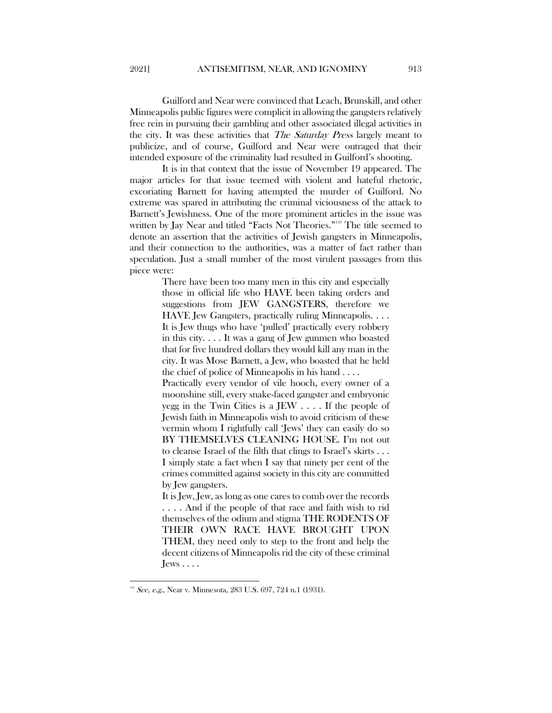Guilford and Near were convinced that Leach, Brunskill, and other Minneapolis public figures were complicit in allowing the gangsters relatively free rein in pursuing their gambling and other associated illegal activities in the city. It was these activities that *The Saturday Press* largely meant to publicize, and of course, Guilford and Near were outraged that their intended exposure of the criminality had resulted in Guilford's shooting.

It is in that context that the issue of November 19 appeared. The major articles for that issue teemed with violent and hateful rhetoric, excoriating Barnett for having attempted the murder of Guilford. No extreme was spared in attributing the criminal viciousness of the attack to Barnett's Jewishness. One of the more prominent articles in the issue was written by Jay Near and titled "Facts Not Theories."<sup>150</sup> The title seemed to denote an assertion that the activities of Jewish gangsters in Minneapolis, and their connection to the authorities, was a matter of fact rather than speculation. Just a small number of the most virulent passages from this piece were:

> There have been too many men in this city and especially those in official life who HAVE been taking orders and suggestions from JEW GANGSTERS, therefore we HAVE Jew Gangsters, practically ruling Minneapolis. . . . It is Jew thugs who have 'pulled' practically every robbery in this city. . . . It was a gang of Jew gunmen who boasted that for five hundred dollars they would kill any man in the city. It was Mose Barnett, a Jew, who boasted that he held the chief of police of Minneapolis in his hand . . . .

> Practically every vendor of vile hooch, every owner of a moonshine still, every snake-faced gangster and embryonic yegg in the Twin Cities is a JEW . . . . If the people of Jewish faith in Minneapolis wish to avoid criticism of these vermin whom I rightfully call 'Jews' they can easily do so BY THEMSELVES CLEANING HOUSE. I'm not out to cleanse Israel of the filth that clings to Israel's skirts . . . I simply state a fact when I say that ninety per cent of the crimes committed against society in this city are committed by Jew gangsters.

> It is Jew, Jew, as long as one cares to comb over the records . . . . And if the people of that race and faith wish to rid themselves of the odium and stigma THE RODENTS OF THEIR OWN RACE HAVE BROUGHT UPON THEM, they need only to step to the front and help the decent citizens of Minneapolis rid the city of these criminal  $J$ ews  $\ldots$ .

<span id="page-23-0"></span> $150$  See, e.g., Near v. Minnesota, 283 U.S. 697, 724 n.1 (1931).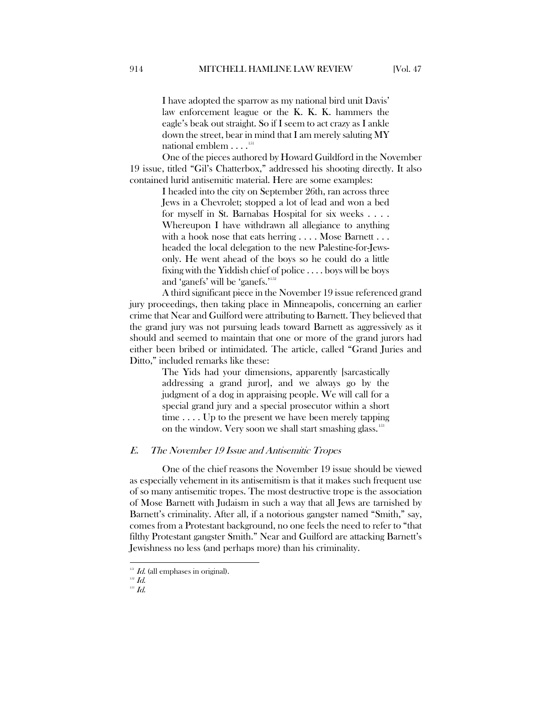I have adopted the sparrow as my national bird unit Davis' law enforcement league or the K. K. K. hammers the eagle's beak out straight. So if I seem to act crazy as I ankle down the street, bear in mind that I am merely saluting MY national emblem  $\dots$ <sup>[151](#page-24-1)</sup>

One of the pieces authored by Howard Guildford in the November 19 issue, titled "Gil's Chatterbox," addressed his shooting directly. It also contained lurid antisemitic material. Here are some examples:

> I headed into the city on September 26th, ran across three Jews in a Chevrolet; stopped a lot of lead and won a bed for myself in St. Barnabas Hospital for six weeks . . . . Whereupon I have withdrawn all allegiance to anything with a hook nose that eats herring . . . . Mose Barnett . . . headed the local delegation to the new Palestine-for-Jewsonly. He went ahead of the boys so he could do a little fixing with the Yiddish chief of police . . . . boys will be boys and 'ganefs' will be 'ganefs.'[152](#page-24-2)

A third significant piece in the November 19 issue referenced grand jury proceedings, then taking place in Minneapolis, concerning an earlier crime that Near and Guilford were attributing to Barnett. They believed that the grand jury was not pursuing leads toward Barnett as aggressively as it should and seemed to maintain that one or more of the grand jurors had either been bribed or intimidated. The article, called "Grand Juries and Ditto," included remarks like these:

> The Yids had your dimensions, apparently [sarcastically addressing a grand juror], and we always go by the judgment of a dog in appraising people. We will call for a special grand jury and a special prosecutor within a short time  $\dots$  Up to the present we have been merely tapping on the window. Very soon we shall start smashing glass.<sup>[153](#page-24-3)</sup>

# <span id="page-24-0"></span>E. The November 19 Issue and Antisemitic Tropes

One of the chief reasons the November 19 issue should be viewed as especially vehement in its antisemitism is that it makes such frequent use of so many antisemitic tropes. The most destructive trope is the association of Mose Barnett with Judaism in such a way that all Jews are tarnished by Barnett's criminality. After all, if a notorious gangster named "Smith," say, comes from a Protestant background, no one feels the need to refer to "that filthy Protestant gangster Smith." Near and Guilford are attacking Barnett's Jewishness no less (and perhaps more) than his criminality.

 $\overline{\phantom{a}}$ 

<span id="page-24-2"></span><span id="page-24-1"></span> $151$  Id. (all emphases in original).

<span id="page-24-3"></span> $^{152}$   $Id.$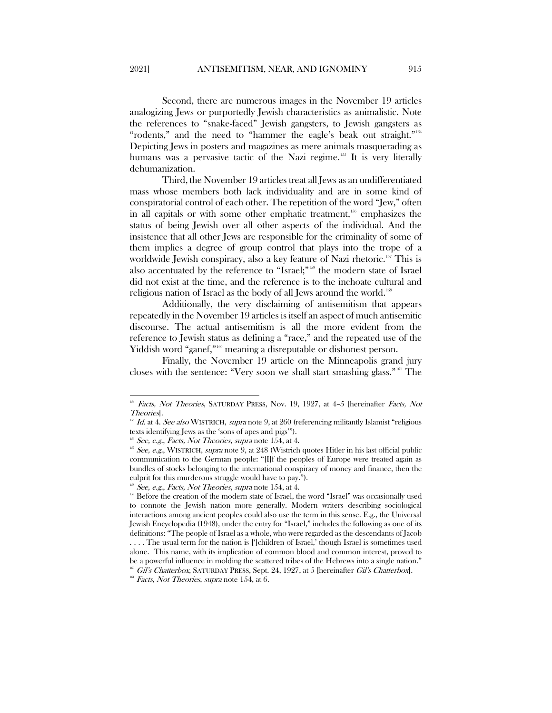Second, there are numerous images in the November 19 articles analogizing Jews or purportedly Jewish characteristics as animalistic. Note the references to "snake-faced" Jewish gangsters, to Jewish gangsters as "rodents," and the need to "hammer the eagle's beak out straight."<sup>[154](#page-25-0)</sup> Depicting Jews in posters and magazines as mere animals masquerading as humans was a pervasive tactic of the Nazi regime.<sup>[155](#page-25-1)</sup> It is very literally dehumanization.

Third, the November 19 articles treat all Jews as an undifferentiated mass whose members both lack individuality and are in some kind of conspiratorial control of each other. The repetition of the word "Jew," often in all capitals or with some other emphatic treatment,<sup>[156](#page-25-2)</sup> emphasizes the status of being Jewish over all other aspects of the individual. And the insistence that all other Jews are responsible for the criminality of some of them implies a degree of group control that plays into the trope of a worldwide Jewish conspiracy, also a key feature of Nazi rhetoric.<sup>[157](#page-25-3)</sup> This is also accentuated by the reference to "Israel;" [158](#page-25-4) the modern state of Israel did not exist at the time, and the reference is to the inchoate cultural and religious nation of Israel as the body of all Jews around the world.[159](#page-25-5)

Additionally, the very disclaiming of antisemitism that appears repeatedly in the November 19 articles is itself an aspect of much antisemitic discourse. The actual antisemitism is all the more evident from the reference to Jewish status as defining a "race," and the repeated use of the Yiddish word "ganef,"<sup>[160](#page-25-6)</sup> meaning a disreputable or dishonest person.

Finally, the November 19 article on the Minneapolis grand jury closes with the sentence: "Very soon we shall start smashing glass."<sup>[161](#page-25-7)</sup> The

<span id="page-25-0"></span><sup>154</sup> Facts, Not Theories, SATURDAY PRESS, Nov. 19, 1927, at 4-5 [hereinafter Facts, Not Theories].

<span id="page-25-1"></span> $^{155}$  Id. at 4. See also WISTRICH, supra note 9, at 260 (referencing militantly Islamist "religious texts identifying Jews as the 'sons of apes and pigs'").

 $156$  See, e.g., Facts, Not Theories, supra note 154, at 4.

<span id="page-25-3"></span><span id="page-25-2"></span> $157$  See, e.g., WISTRICH, supra note 9, at 248 (Wistrich quotes Hitler in his last official public communication to the German people: "[I]f the peoples of Europe were treated again as bundles of stocks belonging to the international conspiracy of money and finance, then the culprit for this murderous struggle would have to pay.").

 $158$  See, e.g., Facts, Not Theories, supra note 154, at 4.

<span id="page-25-5"></span><span id="page-25-4"></span><sup>&</sup>lt;sup>159</sup> Before the creation of the modern state of Israel, the word "Israel" was occasionally used to connote the Jewish nation more generally. Modern writers describing sociological interactions among ancient peoples could also use the term in this sense. E.g., the Universal Jewish Encyclopedia (1948), under the entry for "Israel," includes the following as one of its definitions: "The people of Israel as a whole, who were regarded as the descendants of Jacob .... The usual term for the nation is [']children of Israel,' though Israel is sometimes used alone. This name, with its implication of common blood and common interest, proved to be a powerful influence in molding the scattered tribes of the Hebrews into a single nation." <sup>160</sup> Gil's Chatterbox, SATURDAY PRESS, Sept. 24, 1927, at 5 [hereinafter Gil's Chatterbox].

<span id="page-25-7"></span><span id="page-25-6"></span><sup>&</sup>lt;sup>161</sup> Facts, Not Theories, supra note 154, at 6.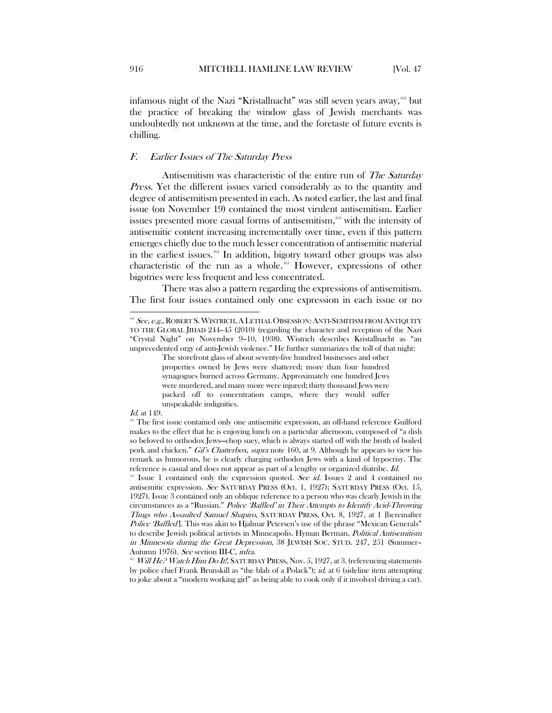infamous night of the Nazi "Kristallnacht" was still seven years away,<sup>[162](#page-26-1)</sup> but the practice of breaking the window glass of Jewish merchants was undoubtedly not unknown at the time, and the foretaste of future events is chilling.

#### <span id="page-26-0"></span>F. Earlier Issues of The Saturday Press

Antisemitism was characteristic of the entire run of The Saturday Press. Yet the different issues varied considerably as to the quantity and degree of antisemitism presented in each. As noted earlier, the last and final issue (on November 19) contained the most virulent antisemitism. Earlier issues presented more casual forms of antisemitism,<sup>[163](#page-26-2)</sup> with the intensity of antisemitic content increasing incrementally over time, even if this pattern emerges chiefly due to the much lesser concentration of antisemitic material in the earliest issues.<sup>[164](#page-26-3)</sup> In addition, bigotry toward other groups was also characteristic of the run as a whole.[165](#page-26-4) However, expressions of other bigotries were less frequent and less concentrated.

There was also a pattern regarding the expressions of antisemitism. The first four issues contained only one expression in each issue or no

 $\overline{\phantom{a}}$ 

<span id="page-26-1"></span> $162$  See, e.g., ROBERT S. WISTRICH, A LETHAL OBSESSION: ANTI-SEMITISM FROM ANTIQUITY TO THE GLOBAL JIHAD 244–45 (2010) (regarding the character and reception of the Nazi "Crystal Night" on November 9–10, 1938). Wistrich describes Kristallnacht as "an unprecedented orgy of anti-Jewish violence." He further summarizes the toll of that night:

The storefront glass of about seventy-five hundred businesses and other properties owned by Jews were shattered; more than four hundred synagogues burned across Germany. Approximately one hundred Jews were murdered, and many more were injured; thirty thousand Jews were packed off to concentration camps, where they would suffer unspeakable indignities.

*Id.* at 149.

<span id="page-26-2"></span><sup>&</sup>lt;sup>163</sup> The first issue contained only one antisemitic expression, an off-hand reference Guilford makes to the effect that he is enjoying lunch on a particular afternoon, composed of "a dish so beloved to orthodox Jews—chop suey, which is always started off with the broth of boiled pork and chicken." Gil's Chatterbox, supra note 160, at 9. Although he appears to view his remark as humorous, he is clearly charging orthodox Jews with a kind of hypocrisy. The reference is casual and does not appear as part of a lengthy or organized diatribe. Id.

<span id="page-26-3"></span><sup>&</sup>lt;sup>164</sup> Issue 1 contained only the expression quoted. See id. Issues 2 and 4 contained no antisemitic expression. See SATURDAY PRESS (Oct. 1, 1927); SATURDAY PRESS (Oct. 15, 1927). Issue 3 contained only an oblique reference to a person who was clearly Jewish in the circumstances as a "Russian." Police 'Baffled' in Their Attempts to Identify Acid-Throwing Thugs who Assaulted Samuel Shapiro, SATURDAY PRESS, Oct. 8, 1927, at 1 [hereinafter Police 'Baffled']. This was akin to Hjalmar Petersen's use of the phrase "Mexican Generals" to describe Jewish political activists in Minneapolis. Hyman Berman, Political Antisemitism in Minnesota during the Great Depression, 38 JEWISH SOC. STUD. 247, 251 (Summer– Autumn 1976). *See* section III-C, *infra.*<br><sup>165</sup> Will He? Watch Him Do It!, SATURDAY PRESS, Nov. 5, 1927, at 3. (referencing statements

<span id="page-26-4"></span>by police chief Frank Brunskill as "the blah of a Polack");  $id.$  at 6 (sideline item attempting to joke about a "modern working girl" as being able to cook only if it involved driving a car).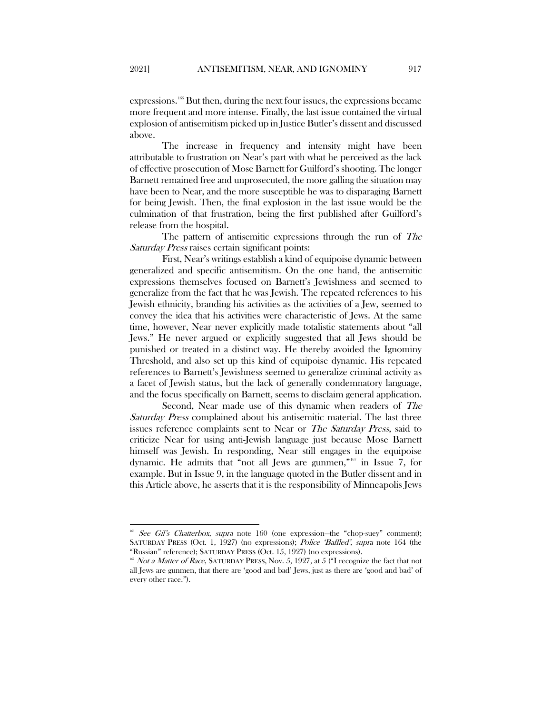expressions.[166](#page-27-0) But then, during the next four issues, the expressions became more frequent and more intense. Finally, the last issue contained the virtual explosion of antisemitism picked up in Justice Butler's dissent and discussed above.

The increase in frequency and intensity might have been attributable to frustration on Near's part with what he perceived as the lack of effective prosecution of Mose Barnett for Guilford's shooting. The longer Barnett remained free and unprosecuted, the more galling the situation may have been to Near, and the more susceptible he was to disparaging Barnett for being Jewish. Then, the final explosion in the last issue would be the culmination of that frustration, being the first published after Guilford's release from the hospital.

The pattern of antisemitic expressions through the run of The Saturday Press raises certain significant points:

First, Near's writings establish a kind of equipoise dynamic between generalized and specific antisemitism. On the one hand, the antisemitic expressions themselves focused on Barnett's Jewishness and seemed to generalize from the fact that he was Jewish. The repeated references to his Jewish ethnicity, branding his activities as the activities of a Jew, seemed to convey the idea that his activities were characteristic of Jews. At the same time, however, Near never explicitly made totalistic statements about "all Jews." He never argued or explicitly suggested that all Jews should be punished or treated in a distinct way. He thereby avoided the Ignominy Threshold, and also set up this kind of equipoise dynamic. His repeated references to Barnett's Jewishness seemed to generalize criminal activity as a facet of Jewish status, but the lack of generally condemnatory language, and the focus specifically on Barnett, seems to disclaim general application.

Second, Near made use of this dynamic when readers of The Saturday Press complained about his antisemitic material. The last three issues reference complaints sent to Near or *The Saturday Press*, said to criticize Near for using anti-Jewish language just because Mose Barnett himself was Jewish. In responding, Near still engages in the equipoise dynamic. He admits that "not all Jews are gunmen,"[167](#page-27-1) in Issue 7, for example. But in Issue 9, in the language quoted in the Butler dissent and in this Article above, he asserts that it is the responsibility of Minneapolis Jews

<span id="page-27-0"></span>See Gil's Chatterbox, supra note 160 (one expression-the "chop-suey" comment); SATURDAY PRESS (Oct. 1, 1927) (no expressions); Police 'Baffled', supra note 164 (the "Russian" reference); SATURDAY PRESS (Oct. 15, 1927) (no expressions).

<span id="page-27-1"></span> $167$  Not a Matter of Race, SATURDAY PRESS, Nov. 5, 1927, at 5 ("I recognize the fact that not all Jews are gunmen, that there are 'good and bad' Jews, just as there are 'good and bad' of every other race.").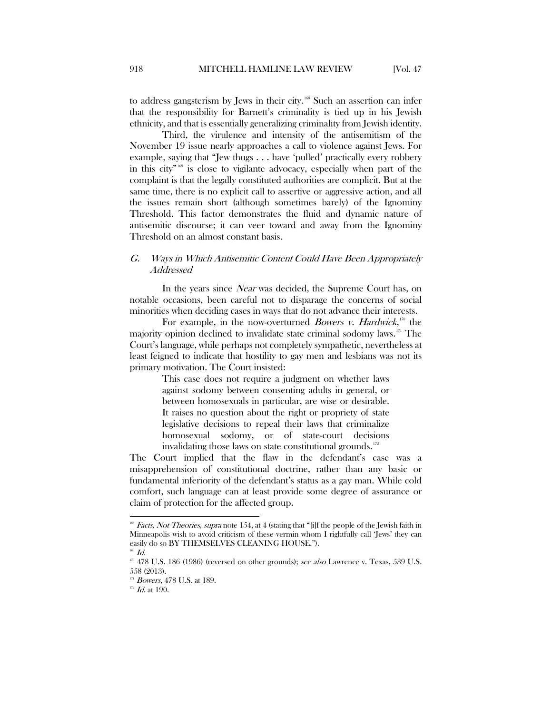Third, the virulence and intensity of the antisemitism of the November 19 issue nearly approaches a call to violence against Jews. For example, saying that "Jew thugs . . . have 'pulled' practically every robbery in this city" $169$  is close to vigilante advocacy, especially when part of the complaint is that the legally constituted authorities are complicit. But at the same time, there is no explicit call to assertive or aggressive action, and all the issues remain short (although sometimes barely) of the Ignominy Threshold. This factor demonstrates the fluid and dynamic nature of antisemitic discourse; it can veer toward and away from the Ignominy Threshold on an almost constant basis.

# <span id="page-28-0"></span>G. Ways in Which Antisemitic Content Could Have Been Appropriately **Addressed**

In the years since *Near* was decided, the Supreme Court has, on notable occasions, been careful not to disparage the concerns of social minorities when deciding cases in ways that do not advance their interests.

For example, in the now-overturned *Bowers v. Hardwick*,<sup>[170](#page-28-3)</sup> the majority opinion declined to invalidate state criminal sodomy laws.<sup>[171](#page-28-4)</sup> The Court's language, while perhaps not completely sympathetic, nevertheless at least feigned to indicate that hostility to gay men and lesbians was not its primary motivation. The Court insisted:

> This case does not require a judgment on whether laws against sodomy between consenting adults in general, or between homosexuals in particular, are wise or desirable. It raises no question about the right or propriety of state legislative decisions to repeal their laws that criminalize homosexual sodomy, or of state-court decisions invalidating those laws on state constitutional grounds.<sup>[172](#page-28-5)</sup>

The Court implied that the flaw in the defendant's case was a misapprehension of constitutional doctrine, rather than any basic or fundamental inferiority of the defendant's status as a gay man. While cold comfort, such language can at least provide some degree of assurance or claim of protection for the affected group.

 $\overline{a}$ 

<span id="page-28-1"></span><sup>&</sup>lt;sup>168</sup> Facts, Not Theories, supra note 154, at 4 (stating that "[i]f the people of the Jewish faith in Minneapolis wish to avoid criticism of these vermin whom I rightfully call 'Jews' they can easily do so BY THEMSELVES CLEANING HOUSE.").

 $^{169}$   $Id.$ 

<span id="page-28-4"></span><span id="page-28-3"></span><span id="page-28-2"></span> $170$  478 U.S. 186 (1986) (reversed on other grounds); see also Lawrence v. Texas, 539 U.S. 558 (2013).

 $1^1$  Bowers, 478 U.S. at 189.

<span id="page-28-5"></span> $172$  *Id.* at 190.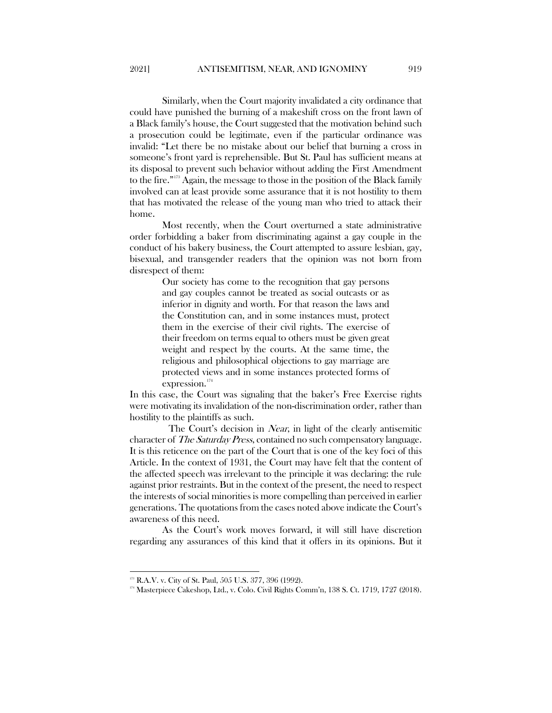Similarly, when the Court majority invalidated a city ordinance that could have punished the burning of a makeshift cross on the front lawn of a Black family's house, the Court suggested that the motivation behind such a prosecution could be legitimate, even if the particular ordinance was invalid: "Let there be no mistake about our belief that burning a cross in someone's front yard is reprehensible. But St. Paul has sufficient means at its disposal to prevent such behavior without adding the First Amendment to the fire."[173](#page-29-0) Again, the message to those in the position of the Black family involved can at least provide some assurance that it is not hostility to them that has motivated the release of the young man who tried to attack their home.

Most recently, when the Court overturned a state administrative order forbidding a baker from discriminating against a gay couple in the conduct of his bakery business, the Court attempted to assure lesbian, gay, bisexual, and transgender readers that the opinion was not born from disrespect of them:

> Our society has come to the recognition that gay persons and gay couples cannot be treated as social outcasts or as inferior in dignity and worth. For that reason the laws and the Constitution can, and in some instances must, protect them in the exercise of their civil rights. The exercise of their freedom on terms equal to others must be given great weight and respect by the courts. At the same time, the religious and philosophical objections to gay marriage are protected views and in some instances protected forms of expression.<sup>[174](#page-29-1)</sup>

In this case, the Court was signaling that the baker's Free Exercise rights were motivating its invalidation of the non-discrimination order, rather than hostility to the plaintiffs as such.

The Court's decision in *Near*, in light of the clearly antisemitic character of The Saturday Press, contained no such compensatory language. It is this reticence on the part of the Court that is one of the key foci of this Article. In the context of 1931, the Court may have felt that the content of the affected speech was irrelevant to the principle it was declaring: the rule against prior restraints. But in the context of the present, the need to respect the interests of social minorities is more compelling than perceived in earlier generations. The quotations from the cases noted above indicate the Court's awareness of this need.

As the Court's work moves forward, it will still have discretion regarding any assurances of this kind that it offers in its opinions. But it

<span id="page-29-0"></span><sup>&</sup>lt;sup>173</sup> R.A.V. v. City of St. Paul, 505 U.S. 377, 396 (1992).

<span id="page-29-1"></span> $174$  Masterpiece Cakeshop, Ltd., v. Colo. Civil Rights Comm'n, 138 S. Ct. 1719, 1727 (2018).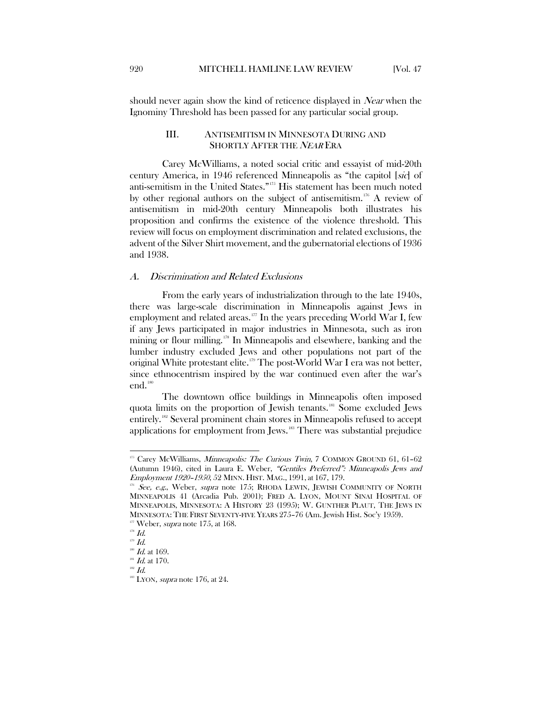<span id="page-30-0"></span>should never again show the kind of reticence displayed in Near when the Ignominy Threshold has been passed for any particular social group.

# III. ANTISEMITISM IN MINNESOTA DURING AND SHORTLY AFTER THE *NEAR* ERA

Carey McWilliams, a noted social critic and essayist of mid-20th century America, in 1946 referenced Minneapolis as "the capitol [sic] of anti-semitism in the United States."[175](#page-30-2) His statement has been much noted by other regional authors on the subject of antisemitism.<sup>[176](#page-30-3)</sup> A review of antisemitism in mid-20th century Minneapolis both illustrates his proposition and confirms the existence of the violence threshold. This review will focus on employment discrimination and related exclusions, the advent of the Silver Shirt movement, and the gubernatorial elections of 1936 and 1938.

# <span id="page-30-1"></span>A. Discrimination and Related Exclusions

From the early years of industrialization through to the late 1940s, there was large-scale discrimination in Minneapolis against Jews in employment and related areas. $177$  In the years preceding World War I, few if any Jews participated in major industries in Minnesota, such as iron mining or flour milling.<sup>[178](#page-30-5)</sup> In Minneapolis and elsewhere, banking and the lumber industry excluded Jews and other populations not part of the original White protestant elite.[179](#page-30-6) The post-World War I era was not better, since ethnocentrism inspired by the war continued even after the war's end.<sup>[180](#page-30-7)</sup>

The downtown office buildings in Minneapolis often imposed quota limits on the proportion of Jewish tenants.<sup>[181](#page-30-8)</sup> Some excluded Jews entirely.<sup>[182](#page-30-9)</sup> Several prominent chain stores in Minneapolis refused to accept applications for employment from Jews.[183](#page-30-10) There was substantial prejudice

 $\overline{\phantom{a}}$ 

<span id="page-30-2"></span> $175$  Carey McWilliams, *Minneapolis: The Curious Twin*, 7 COMMON GROUND 61, 61-62 (Autumn 1946), cited in Laura E. Weber, "Gentiles Preferred": Minneapolis Jews and Employment 1920–1950, 52 MINN. HIST. MAG., 1991, at 167, 179.

<span id="page-30-3"></span> $176$  See, e.g., Weber, supra note 175; RHODA LEWIN, JEWISH COMMUNITY OF NORTH MINNEAPOLIS 41 (Arcadia Pub. 2001); FRED A. LYON, MOUNT SINAI HOSPITAL OF MINNEAPOLIS, MINNESOTA: A HISTORY 23 (1995); W. GUNTHER PLAUT, THE JEWS IN MINNESOTA: THE FIRST SEVENTY-FIVE YEARS 275–76 (Am. Jewish Hist. Soc'y 1959).

<span id="page-30-4"></span><sup>&</sup>lt;sup>177</sup> Weber, *supra* note 175, at 168.

 $^{178}$   $Id.$ 

<span id="page-30-5"></span> $179$   $Id.$ 

<span id="page-30-7"></span><span id="page-30-6"></span> $^{180}$  *Id.* at 169.  $181$  Id. at 170.

<span id="page-30-9"></span><span id="page-30-8"></span> $182$   $Id.$ 

<span id="page-30-10"></span>

 $188$  LYON, *supra* note 176, at 24.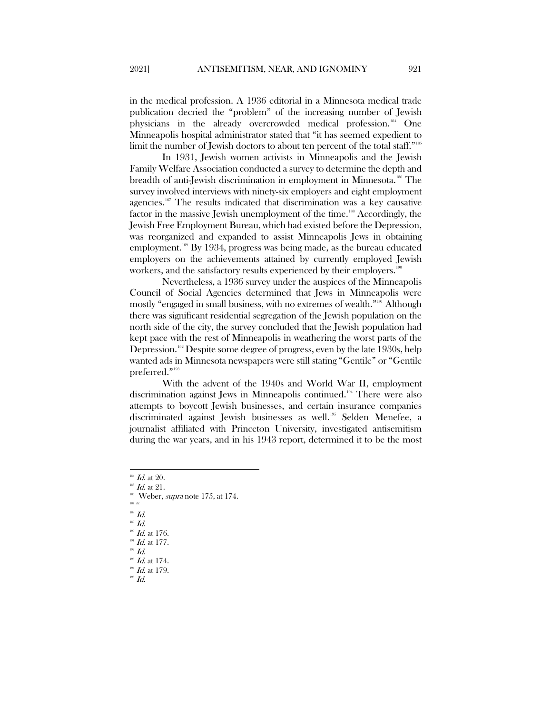in the medical profession. A 1936 editorial in a Minnesota medical trade publication decried the "problem" of the increasing number of Jewish physicians in the already overcrowded medical profession.[184](#page-31-0) One Minneapolis hospital administrator stated that "it has seemed expedient to limit the number of Jewish doctors to about ten percent of the total staff."<sup>[185](#page-31-1)</sup>

In 1931, Jewish women activists in Minneapolis and the Jewish Family Welfare Association conducted a survey to determine the depth and breadth of anti-Jewish discrimination in employment in Minnesota.<sup>[186](#page-31-2)</sup> The survey involved interviews with ninety-six employers and eight employment agencies.<sup>[187](#page-31-3)</sup> The results indicated that discrimination was a key causative factor in the massive Jewish unemployment of the time.<sup>[188](#page-31-4)</sup> Accordingly, the Jewish Free Employment Bureau, which had existed before the Depression, was reorganized and expanded to assist Minneapolis Jews in obtaining employment.[189](#page-31-5) By 1934, progress was being made, as the bureau educated employers on the achievements attained by currently employed Jewish workers, and the satisfactory results experienced by their employers.<sup>19</sup>

Nevertheless, a 1936 survey under the auspices of the Minneapolis Council of Social Agencies determined that Jews in Minneapolis were mostly "engaged in small business, with no extremes of wealth."[191](#page-31-7) Although there was significant residential segregation of the Jewish population on the north side of the city, the survey concluded that the Jewish population had kept pace with the rest of Minneapolis in weathering the worst parts of the Depression.<sup>[192](#page-31-8)</sup> Despite some degree of progress, even by the late 1930s, help wanted ads in Minnesota newspapers were still stating "Gentile" or "Gentile preferred."[193](#page-31-9)

With the advent of the 1940s and World War II, employment discrimination against Jews in Minneapolis continued.<sup>[194](#page-31-10)</sup> There were also attempts to boycott Jewish businesses, and certain insurance companies discriminated against Jewish businesses as well.<sup>[195](#page-31-11)</sup> Selden Menefee, a journalist affiliated with Princeton University, investigated antisemitism during the war years, and in his 1943 report, determined it to be the most

- <span id="page-31-4"></span><span id="page-31-3"></span> $188$  Id.
- <span id="page-31-5"></span> $^{189}$   $\emph{Id.}$

 $192$   $Id.$ 

 $184$  *Id.* at 20.

<span id="page-31-2"></span><span id="page-31-1"></span><span id="page-31-0"></span> $^{185}$  *Id.* at 21.

 $186$  Weber, *supra* note 175, at 174. 187 Id.

<span id="page-31-6"></span>Id. at 176.

 $191$  *Id.* at 177.

<span id="page-31-9"></span><span id="page-31-8"></span><span id="page-31-7"></span> $^{193}$   $\emph{Id.}$  at 174.

<span id="page-31-11"></span><span id="page-31-10"></span> $194$  *Id.* at 179.

 $^{195}$   $Id.$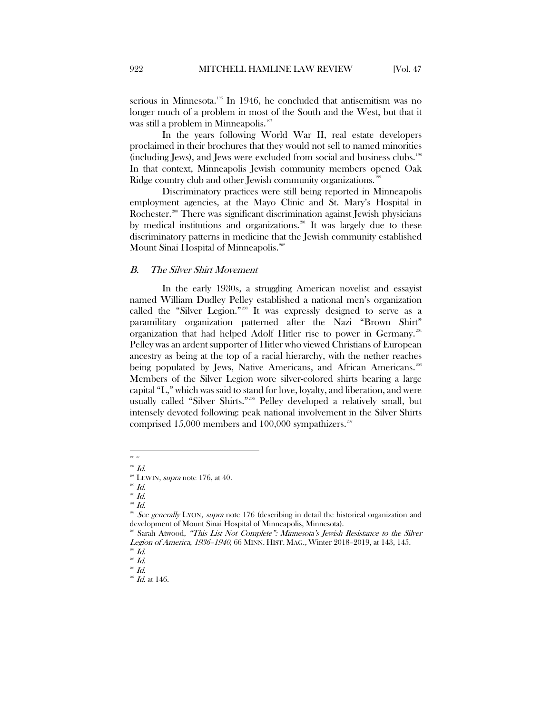serious in Minnesota.<sup>196</sup> In 1946, he concluded that antisemitism was no longer much of a problem in most of the South and the West, but that it was still a problem in Minneapolis.<sup>[197](#page-32-2)</sup>

In the years following World War II, real estate developers proclaimed in their brochures that they would not sell to named minorities (including Jews), and Jews were excluded from social and business clubs. [198](#page-32-3) In that context, Minneapolis Jewish community members opened Oak Ridge country club and other Jewish community organizations.<sup>[199](#page-32-4)</sup>

Discriminatory practices were still being reported in Minneapolis employment agencies, at the Mayo Clinic and St. Mary's Hospital in Rochester.<sup>[200](#page-32-5)</sup> There was significant discrimination against Jewish physicians by medical institutions and organizations.<sup>[201](#page-32-6)</sup> It was largely due to these discriminatory patterns in medicine that the Jewish community established Mount Sinai Hospital of Minneapolis.<sup>[202](#page-32-7)</sup>

#### <span id="page-32-0"></span>B. The Silver Shirt Movement

In the early 1930s, a struggling American novelist and essayist named William Dudley Pelley established a national men's organization called the "Silver Legion."<sup>[203](#page-32-8)</sup> It was expressly designed to serve as a paramilitary organization patterned after the Nazi "Brown Shirt" organization that had helped Adolf Hitler rise to power in Germany.<sup>[204](#page-32-9)</sup> Pelley was an ardent supporter of Hitler who viewed Christians of European ancestry as being at the top of a racial hierarchy, with the nether reaches being populated by Jews, Native Americans, and African Americans.<sup>[205](#page-32-10)</sup> Members of the Silver Legion wore silver-colored shirts bearing a large capital "L," which was said to stand for love, loyalty, and liberation, and were usually called "Silver Shirts."<sup>[206](#page-32-11)</sup> Pelley developed a relatively small, but intensely devoted following: peak national involvement in the Silver Shirts comprised  $15,000$  members and  $100,000$  sympathizers.<sup>[207](#page-32-12)</sup>

 $200$   $Id.$ 

 196 Id.

<span id="page-32-2"></span><span id="page-32-1"></span> $197$  *Id.* 

<span id="page-32-3"></span> $198$  LEWIN, *supra* note 176, at 40.

<span id="page-32-4"></span> $199$   $Id.$ 

 $^{201}$   $Id.$ 

<span id="page-32-7"></span><span id="page-32-6"></span><span id="page-32-5"></span><sup>&</sup>lt;sup>302</sup> See generally LYON, supra note 176 (describing in detail the historical organization and development of Mount Sinai Hospital of Minneapolis, Minnesota).

<span id="page-32-8"></span>Sarah Atwood, "This List Not Complete": Minnesota's Jewish Resistance to the Silver Legion of America, 1936–1940, 66 MINN. HIST. MAG., Winter 2018–2019, at 143, 145.

<span id="page-32-9"></span> $\frac{204}{205}$  *Id.* 

<span id="page-32-12"></span><span id="page-32-11"></span><span id="page-32-10"></span> $^{206}$   $Id.$ 

 $^{207}$  *Id.* at 146.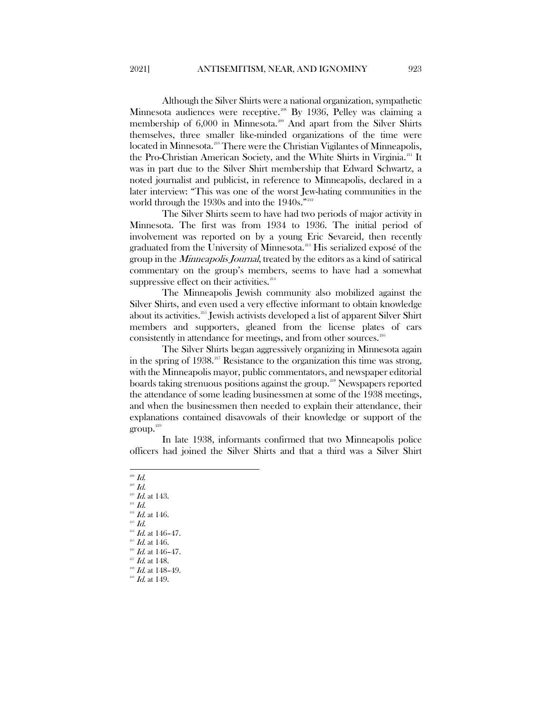Although the Silver Shirts were a national organization, sympathetic Minnesota audiences were receptive.<sup>[208](#page-33-0)</sup> By 1936, Pelley was claiming a membership of 6,000 in Minnesota.<sup>[209](#page-33-1)</sup> And apart from the Silver Shirts themselves, three smaller like-minded organizations of the time were located in Minnesota.<sup>[210](#page-33-2)</sup> There were the Christian Vigilantes of Minneapolis, the Pro-Christian American Society, and the White Shirts in Virginia.[211](#page-33-3) It was in part due to the Silver Shirt membership that Edward Schwartz, a noted journalist and publicist, in reference to Minneapolis, declared in a later interview: "This was one of the worst Jew-hating communities in the world through the 1930s and into the 1940s."<sup>[212](#page-33-4)</sup>

The Silver Shirts seem to have had two periods of major activity in Minnesota. The first was from 1934 to 1936. The initial period of involvement was reported on by a young Eric Sevareid, then recently graduated from the University of Minnesota.<sup>[213](#page-33-5)</sup> His serialized exposé of the group in the Minneapolis Journal, treated by the editors as a kind of satirical commentary on the group's members, seems to have had a somewhat suppressive effect on their activities. $214$ 

The Minneapolis Jewish community also mobilized against the Silver Shirts, and even used a very effective informant to obtain knowledge about its activities.[215](#page-33-7) Jewish activists developed a list of apparent Silver Shirt members and supporters, gleaned from the license plates of cars consistently in attendance for meetings, and from other sources.<sup>[216](#page-33-8)</sup>

The Silver Shirts began aggressively organizing in Minnesota again in the spring of 1938.<sup>[217](#page-33-9)</sup> Resistance to the organization this time was strong, with the Minneapolis mayor, public commentators, and newspaper editorial boards taking strenuous positions against the group.<sup>[218](#page-33-10)</sup> Newspapers reported the attendance of some leading businessmen at some of the 1938 meetings, and when the businessmen then needed to explain their attendance, their explanations contained disavowals of their knowledge or support of the  $\text{group.}^{219}$  $\text{group.}^{219}$  $\text{group.}^{219}$ 

In late 1938, informants confirmed that two Minneapolis police officers had joined the Silver Shirts and that a third was a Silver Shirt

- <span id="page-33-1"></span><span id="page-33-0"></span> $^{208}$   $Id.$  $^{209}$   $\emph{Id.}$  $^{210}$   $\emph{Id.}$  at 143.
- <span id="page-33-4"></span><span id="page-33-3"></span><span id="page-33-2"></span> $^{211}$  Id.
- $^{212}$  *Id.* at 146.
- <span id="page-33-5"></span> $^{213}$   $Id.$
- $^{214}$   $\emph{Id.}$  at 146–47.
- <span id="page-33-7"></span><span id="page-33-6"></span> $^{215}$  *Id.* at 146.
- <span id="page-33-9"></span><span id="page-33-8"></span> $^{216}$  *Id.* at 146-47.
- $^{217}$  *Id.* at 148.  $^{218}$  *Id.* at 148-49.
- <span id="page-33-11"></span><span id="page-33-10"></span> $^{219}$  *Id.* at 149.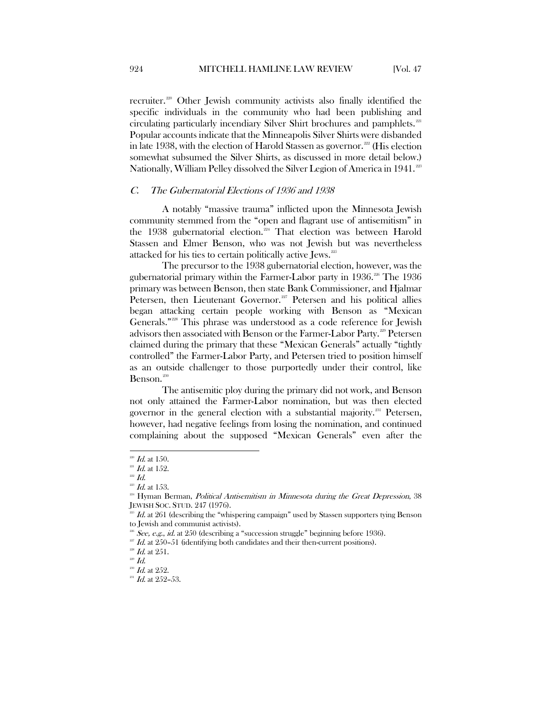recruiter.<sup>[220](#page-34-1)</sup> Other Jewish community activists also finally identified the specific individuals in the community who had been publishing and circulating particularly incendiary Silver Shirt brochures and pamphlets.<sup>[221](#page-34-2)</sup> Popular accounts indicate that the Minneapolis Silver Shirts were disbanded in late 1938, with the election of Harold Stassen as governor.<sup>[222](#page-34-3)</sup> (His election somewhat subsumed the Silver Shirts, as discussed in more detail below.) Nationally, William Pelley dissolved the Silver Legion of America in 1941.<sup>[223](#page-34-4)</sup>

## <span id="page-34-0"></span>C. The Gubernatorial Elections of 1936 and 1938

A notably "massive trauma" inflicted upon the Minnesota Jewish community stemmed from the "open and flagrant use of antisemitism" in the 1938 gubernatorial election.<sup>[224](#page-34-5)</sup> That election was between Harold Stassen and Elmer Benson, who was not Jewish but was nevertheless attacked for his ties to certain politically active Jews.[225](#page-34-6)

The precursor to the 1938 gubernatorial election, however, was the gubernatorial primary within the Farmer-Labor party in  $1936$ .<sup>[226](#page-34-7)</sup> The 1936 primary was between Benson, then state Bank Commissioner, and Hjalmar Petersen, then Lieutenant Governor.<sup>[227](#page-34-8)</sup> Petersen and his political allies began attacking certain people working with Benson as "Mexican Generals."[228](#page-34-9) This phrase was understood as a code reference for Jewish advisors then associated with Benson or the Farmer-Labor Party.<sup>[229](#page-34-10)</sup> Petersen claimed during the primary that these "Mexican Generals" actually "tightly controlled" the Farmer-Labor Party, and Petersen tried to position himself as an outside challenger to those purportedly under their control, like Benson.<sup>[230](#page-34-11)</sup>

The antisemitic ploy during the primary did not work, and Benson not only attained the Farmer-Labor nomination, but was then elected governor in the general election with a substantial majority.<sup>[231](#page-34-12)</sup> Petersen, however, had negative feelings from losing the nomination, and continued complaining about the supposed "Mexican Generals" even after the

 $\overline{\phantom{a}}$ 

 $^{220}$  *Id.* at 150.

<span id="page-34-2"></span><span id="page-34-1"></span> $^{221}$  *Id.* at 152.

<span id="page-34-3"></span> $^{222}$  Id.

 $^{223}$  *Id.* at 153.

<span id="page-34-5"></span><span id="page-34-4"></span><sup>&</sup>lt;sup>224</sup> Hyman Berman, *Political Antisemitism in Minnesota during the Great Depression*, 38 JEWISH SOC. STUD. 247 (1976).

<span id="page-34-6"></span> $1d.$  at 261 (describing the "whispering campaign" used by Stassen supporters tying Benson to Jewish and communist activists).

See, e.g., id. at 250 (describing a "succession struggle" beginning before 1936).

<span id="page-34-8"></span><span id="page-34-7"></span> $1d.$  at 250–51 (identifying both candidates and their then-current positions).

 $^{228}$  *Id.* at 251.

<span id="page-34-11"></span><span id="page-34-10"></span><span id="page-34-9"></span> $^{229}$   $Id.$ 

<span id="page-34-12"></span> $^{230}$  *Id.* at 252.

 $^{231}$  *Id.* at 252-53.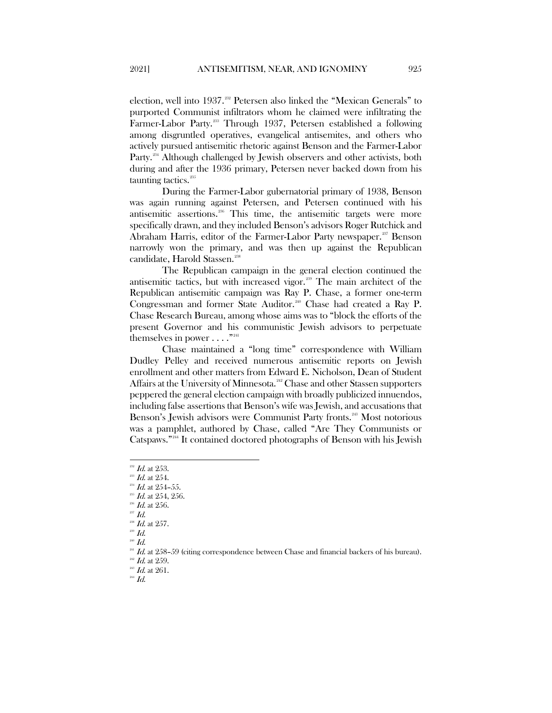election, well into 1937.<sup>332</sup> Petersen also linked the "Mexican Generals" to purported Communist infiltrators whom he claimed were infiltrating the Farmer-Labor Party.<sup>[233](#page-35-1)</sup> Through 1937, Petersen established a following among disgruntled operatives, evangelical antisemites, and others who actively pursued antisemitic rhetoric against Benson and the Farmer-Labor Party.<sup>[234](#page-35-2)</sup> Although challenged by Jewish observers and other activists, both during and after the 1936 primary, Petersen never backed down from his taunting tactics.<sup>[235](#page-35-3)</sup>

During the Farmer-Labor gubernatorial primary of 1938, Benson was again running against Petersen, and Petersen continued with his antisemitic assertions.[236](#page-35-4) This time, the antisemitic targets were more specifically drawn, and they included Benson's advisors Roger Rutchick and Abraham Harris, editor of the Farmer-Labor Party newspaper.<sup>[237](#page-35-5)</sup> Benson narrowly won the primary, and was then up against the Republican candidate, Harold Stassen.<sup>[238](#page-35-6)</sup>

The Republican campaign in the general election continued the antisemitic tactics, but with increased vigor.<sup>[239](#page-35-7)</sup> The main architect of the Republican antisemitic campaign was Ray P. Chase, a former one-term Congressman and former State Auditor.<sup>[240](#page-35-8)</sup> Chase had created a Ray P. Chase Research Bureau, among whose aims was to "block the efforts of the present Governor and his communistic Jewish advisors to perpetuate themselves in power  $\dots$ ."<sup>[241](#page-35-9)</sup>

Chase maintained a "long time" correspondence with William Dudley Pelley and received numerous antisemitic reports on Jewish enrollment and other matters from Edward E. Nicholson, Dean of Student Affairs at the University of Minnesota.<sup>[242](#page-35-10)</sup> Chase and other Stassen supporters peppered the general election campaign with broadly publicized innuendos, including false assertions that Benson's wife was Jewish, and accusations that Benson's Jewish advisors were Communist Party fronts.<sup>[243](#page-35-11)</sup> Most notorious was a pamphlet, authored by Chase, called "Are They Communists or Catspaws."[244](#page-35-12) It contained doctored photographs of Benson with his Jewish

<span id="page-35-5"></span><sup>237</sup> Id.

<span id="page-35-7"></span><span id="page-35-6"></span> $^{239}$   $Id.$  $^{240}$   $Id.$ 

 $^{232}$  *Id.* at 253.

<span id="page-35-2"></span><span id="page-35-1"></span><span id="page-35-0"></span> $^{233}$  Id. at 254.

 $^{234}$  *Id.* at 254-55.

<span id="page-35-3"></span> $^{235}$  *Id.* at 254, 256.

<span id="page-35-4"></span> $^{236}$  *Id.* at 256.

 $^{238}$  *Id.* at 257.

 $^{241}$  *Id.* at 258–59 (citing correspondence between Chase and financial backers of his bureau).

<span id="page-35-11"></span><span id="page-35-10"></span><span id="page-35-9"></span><span id="page-35-8"></span> $^{242}$  *Id.* at 259.  $^{243}$  *Id.* at 261.

<span id="page-35-12"></span> $^{244}$  Id.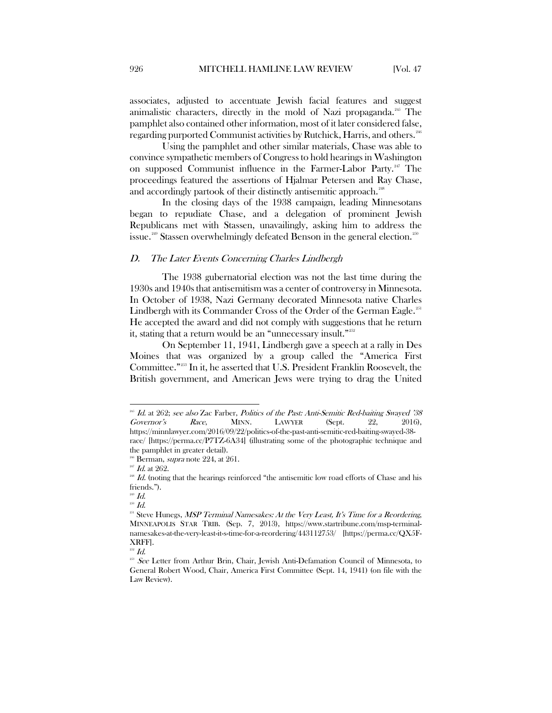associates, adjusted to accentuate Jewish facial features and suggest animalistic characters, directly in the mold of Nazi propaganda.<sup>[245](#page-36-1)</sup> The pamphlet also contained other information, most of it later considered false, regarding purported Communist activities by Rutchick, Harris, and others.<sup>[246](#page-36-2)</sup>

Using the pamphlet and other similar materials, Chase was able to convince sympathetic members of Congress to hold hearings in Washington on supposed Communist influence in the Farmer-Labor Party.<sup>[247](#page-36-3)</sup> The proceedings featured the assertions of Hjalmar Petersen and Ray Chase, and accordingly partook of their distinctly antisemitic approach.<sup>[248](#page-36-4)</sup>

In the closing days of the 1938 campaign, leading Minnesotans began to repudiate Chase, and a delegation of prominent Jewish Republicans met with Stassen, unavailingly, asking him to address the issue.<sup>[249](#page-36-5)</sup> Stassen overwhelmingly defeated Benson in the general election.<sup>[250](#page-36-6)</sup>

#### <span id="page-36-0"></span>D. The Later Events Concerning Charles Lindbergh

The 1938 gubernatorial election was not the last time during the 1930s and 1940s that antisemitism was a center of controversy in Minnesota. In October of 1938, Nazi Germany decorated Minnesota native Charles Lindbergh with its Commander Cross of the Order of the German Eagle.<sup>[251](#page-36-7)</sup> He accepted the award and did not comply with suggestions that he return it, stating that a return would be an "unnecessary insult."[252](#page-36-8)

On September 11, 1941, Lindbergh gave a speech at a rally in Des Moines that was organized by a group called the "America First Committee."[253](#page-36-9) In it, he asserted that U.S. President Franklin Roosevelt, the British government, and American Jews were trying to drag the United

 $\overline{\phantom{a}}$ 

 $252$  *Id.* 

<span id="page-36-1"></span> $^{245}$  Id. at 262; see also Zac Farber, *Politics of the Past: Anti-Semitic Red-baiting Swayed '38* Governor's Race, MINN. LAWYER (Sept. 22, 2016), https://minnlawyer.com/2016/09/22/politics-of-the-past-anti-semitic-red-baiting-swayed-38 race/ [https://perma.cc/P7TZ-6A34] (illustrating some of the photographic technique and

<span id="page-36-2"></span>the pamphlet in greater detail).  $246$  Berman, *supra* note 224, at 261.

<span id="page-36-3"></span> $^{247}$  *Id.* at 262.

<span id="page-36-4"></span> $^{248}$  *Id.* (noting that the hearings reinforced "the antisemitic low road efforts of Chase and his friends.").

 $^{249}$   $\emph{Id.}$ 

<span id="page-36-6"></span><span id="page-36-5"></span> $\real^{250}$   $Id.$ 

<span id="page-36-7"></span><sup>&</sup>lt;sup>251</sup> Steve Hunegs, MSP Terminal Namesakes: At the Very Least, It's Time for a Reordering, MINNEAPOLIS STAR TRIB. (Sep. 7, 2013), https://www.startribune.com/msp-terminalnamesakes-at-the-very-least-it-s-time-for-a-reordering/443112753/ [https://perma.cc/QX5F-XRFF].

<span id="page-36-9"></span><span id="page-36-8"></span><sup>&</sup>lt;sup>253</sup> See Letter from Arthur Brin, Chair, Jewish Anti-Defamation Council of Minnesota, to General Robert Wood, Chair, America First Committee (Sept. 14, 1941) (on file with the Law Review).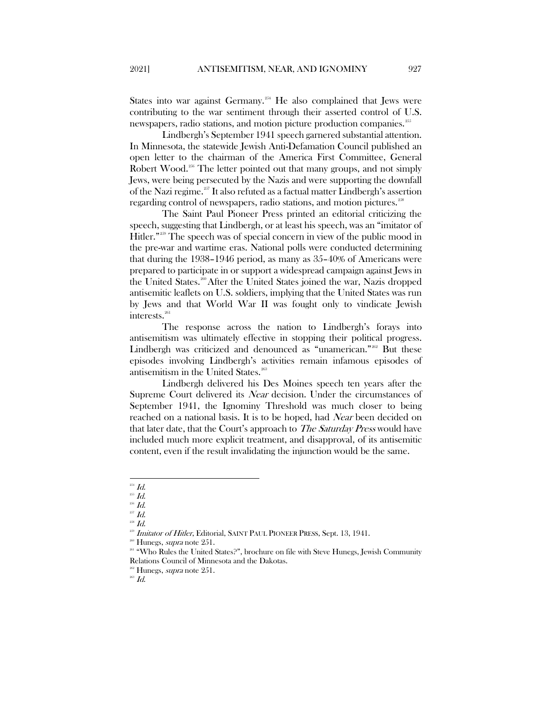States into war against Germany.<sup>[254](#page-37-0)</sup> He also complained that Jews were contributing to the war sentiment through their asserted control of U.S. newspapers, radio stations, and motion picture production companies.<sup>[255](#page-37-1)</sup>

Lindbergh's September 1941 speech garnered substantial attention. In Minnesota, the statewide Jewish Anti-Defamation Council published an open letter to the chairman of the America First Committee, General Robert Wood.<sup>[256](#page-37-2)</sup> The letter pointed out that many groups, and not simply Jews, were being persecuted by the Nazis and were supporting the downfall of the Nazi regime.[257](#page-37-3) It also refuted as a factual matter Lindbergh's assertion regarding control of newspapers, radio stations, and motion pictures.<sup>[258](#page-37-4)</sup>

The Saint Paul Pioneer Press printed an editorial criticizing the speech, suggesting that Lindbergh, or at least his speech, was an "imitator of Hitler."<sup>[259](#page-37-5)</sup> The speech was of special concern in view of the public mood in the pre-war and wartime eras. National polls were conducted determining that during the 1938–1946 period, as many as 35–40% of Americans were prepared to participate in or support a widespread campaign against Jews in the United States.<sup>260</sup> After the United States joined the war, Nazis dropped antisemitic leaflets on U.S. soldiers, implying that the United States was run by Jews and that World War II was fought only to vindicate Jewish interests.<sup>[261](#page-37-7)</sup>

The response across the nation to Lindbergh's forays into antisemitism was ultimately effective in stopping their political progress. Lindbergh was criticized and denounced as "unamerican."<sup>262</sup> But these episodes involving Lindbergh's activities remain infamous episodes of antisemitism in the United States.<sup>[263](#page-37-9)</sup>

Lindbergh delivered his Des Moines speech ten years after the Supreme Court delivered its *Near* decision. Under the circumstances of September 1941, the Ignominy Threshold was much closer to being reached on a national basis. It is to be hoped, had Near been decided on that later date, that the Court's approach to *The Saturday Press* would have included much more explicit treatment, and disapproval, of its antisemitic content, even if the result invalidating the injunction would be the same.

<span id="page-37-0"></span> $^{254}$  Id.

 $\,$   $^{255}$   $Id.$ 

<span id="page-37-3"></span><span id="page-37-2"></span><span id="page-37-1"></span><sup>256</sup> Id.  $^{257}$   $Id.$ 

<span id="page-37-4"></span> $^{258}$   $\emph{Id.}$ 

<sup>&</sup>lt;sup>259</sup> Imitator of Hitler, Editorial, SAINT PAUL PIONEER PRESS, Sept. 13, 1941.

<span id="page-37-6"></span><span id="page-37-5"></span> $260$  Hunegs, *supra* note 251.

<span id="page-37-7"></span><sup>&</sup>lt;sup>261</sup> "Who Rules the United States?", brochure on file with Steve Hunegs, Jewish Community Relations Council of Minnesota and the Dakotas.

<span id="page-37-9"></span><span id="page-37-8"></span><sup>&</sup>lt;sup>262</sup> Hunegs, *supra* note 251.